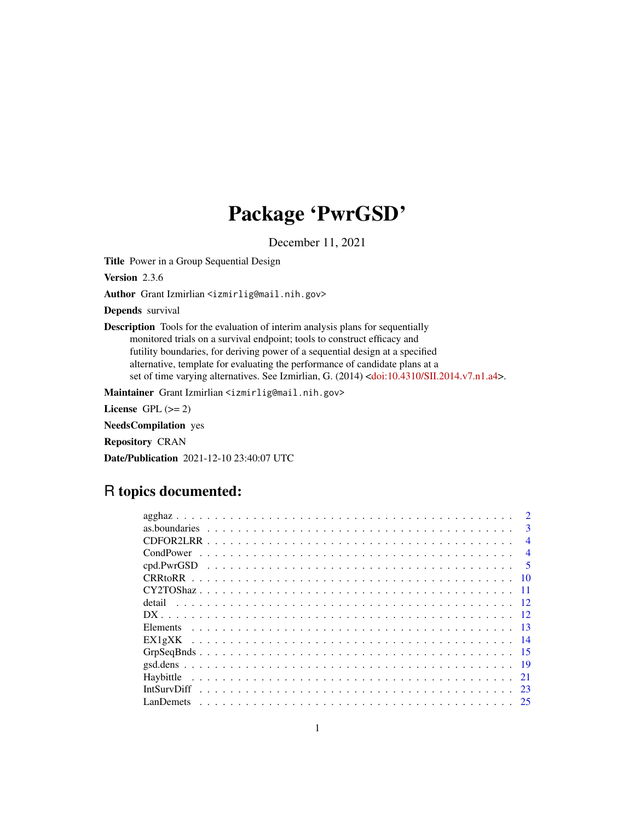# Package 'PwrGSD'

December 11, 2021

Title Power in a Group Sequential Design

Version 2.3.6

Author Grant Izmirlian <izmirlig@mail.nih.gov>

Depends survival

Description Tools for the evaluation of interim analysis plans for sequentially monitored trials on a survival endpoint; tools to construct efficacy and futility boundaries, for deriving power of a sequential design at a specified alternative, template for evaluating the performance of candidate plans at a set of time varying alternatives. See Izmirlian, G. (2014) [<doi:10.4310/SII.2014.v7.n1.a4>](https://doi.org/10.4310/SII.2014.v7.n1.a4).

Maintainer Grant Izmirlian <izmirlig@mail.nih.gov>

License GPL  $(>= 2)$ 

NeedsCompilation yes

Repository CRAN

Date/Publication 2021-12-10 23:40:07 UTC

# R topics documented:

| $\mathcal{D}$  |
|----------------|
| $\mathbf{3}$   |
| $\overline{4}$ |
| $\overline{4}$ |
| $\sim$ 5       |
| -10            |
|                |
| detail         |
|                |
|                |
|                |
| - 15           |
|                |
|                |
| 23             |
|                |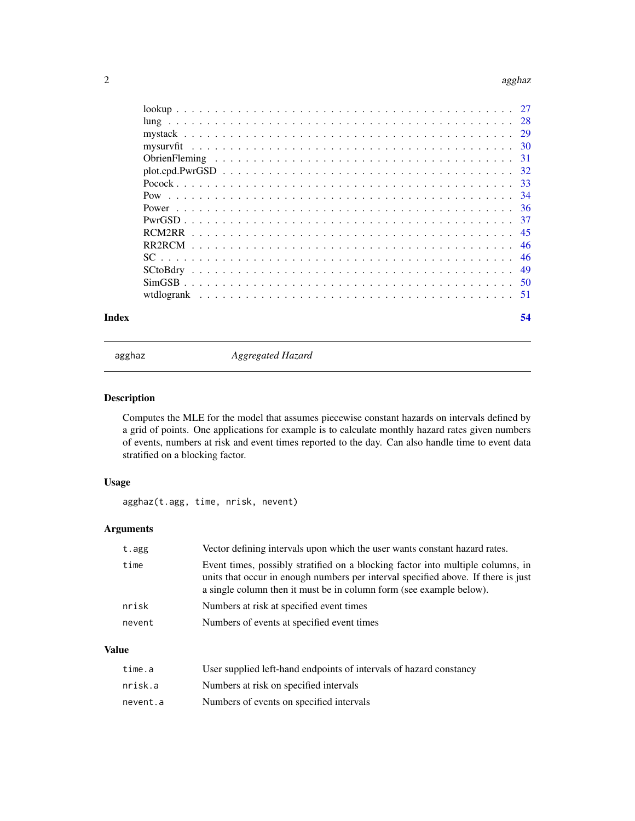### <span id="page-1-0"></span> $2$  agghaz

| -28 |
|-----|
|     |
|     |
|     |
| 32  |
|     |
| -34 |
|     |
| 37  |
| 45  |
| 46  |
| 46  |
| 49  |
|     |
|     |
|     |

### **Index** [54](#page-53-0)

agghaz *Aggregated Hazard*

# Description

Computes the MLE for the model that assumes piecewise constant hazards on intervals defined by a grid of points. One applications for example is to calculate monthly hazard rates given numbers of events, numbers at risk and event times reported to the day. Can also handle time to event data stratified on a blocking factor.

# Usage

agghaz(t.agg, time, nrisk, nevent)

# Arguments

| t.agg  | Vector defining intervals upon which the user wants constant hazard rates.                                                                                                                                                                  |
|--------|---------------------------------------------------------------------------------------------------------------------------------------------------------------------------------------------------------------------------------------------|
| time   | Event times, possibly stratified on a blocking factor into multiple columns, in<br>units that occur in enough numbers per interval specified above. If there is just<br>a single column then it must be in column form (see example below). |
| nrisk  | Numbers at risk at specified event times                                                                                                                                                                                                    |
| nevent | Numbers of events at specified event times                                                                                                                                                                                                  |

# Value

| time.a   | User supplied left-hand endpoints of intervals of hazard constancy |
|----------|--------------------------------------------------------------------|
| nrisk.a  | Numbers at risk on specified intervals                             |
| nevent.a | Numbers of events on specified intervals                           |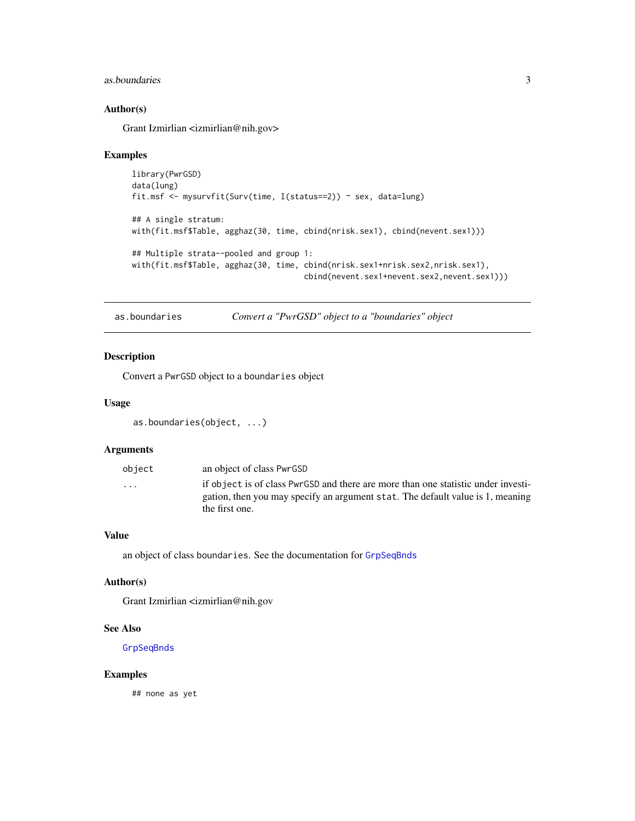### <span id="page-2-0"></span>as.boundaries 3

# Author(s)

Grant Izmirlian <izmirlian@nih.gov>

### Examples

```
library(PwrGSD)
data(lung)
fit.msf <- mysurvfit(Surv(time, I(status==2)) ~ sex, data=lung)
## A single stratum:
with(fit.msf$Table, agghaz(30, time, cbind(nrisk.sex1), cbind(nevent.sex1)))
## Multiple strata--pooled and group 1:
with(fit.msf$Table, agghaz(30, time, cbind(nrisk.sex1+nrisk.sex2,nrisk.sex1),
                                     cbind(nevent.sex1+nevent.sex2,nevent.sex1)))
```
as.boundaries *Convert a "PwrGSD" object to a "boundaries" object*

### Description

Convert a PwrGSD object to a boundaries object

### Usage

```
as.boundaries(object, ...)
```
### Arguments

| obiect                  | an object of class PwrGSD                                                                                                                                           |
|-------------------------|---------------------------------------------------------------------------------------------------------------------------------------------------------------------|
| $\cdot$ $\cdot$ $\cdot$ | if object is of class PwrGSD and there are more than one statistic under investi-<br>gation, then you may specify an argument stat. The default value is 1, meaning |
|                         | the first one.                                                                                                                                                      |

### Value

an object of class boundaries. See the documentation for [GrpSeqBnds](#page-14-1)

### Author(s)

Grant Izmirlian <izmirlian@nih.gov

### See Also

[GrpSeqBnds](#page-14-1)

### Examples

## none as yet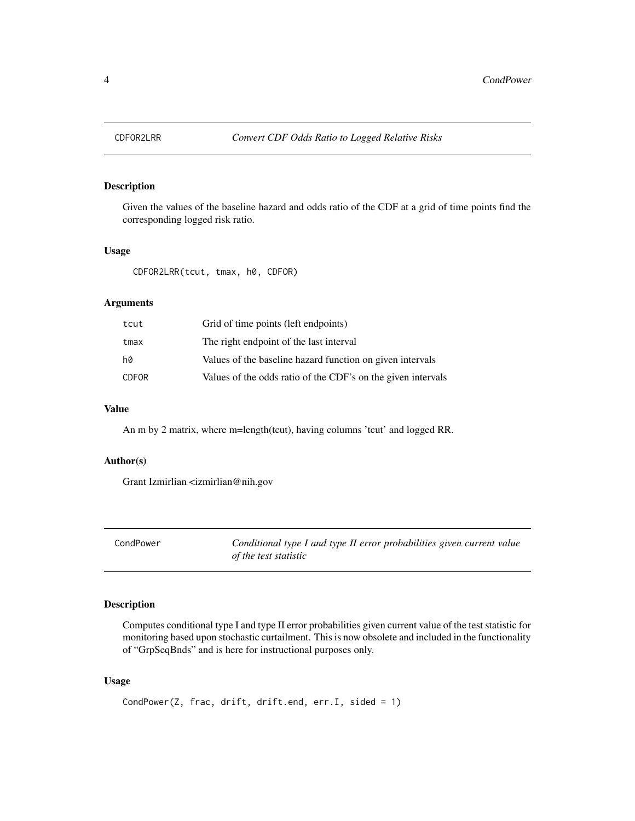<span id="page-3-0"></span>

# Description

Given the values of the baseline hazard and odds ratio of the CDF at a grid of time points find the corresponding logged risk ratio.

### Usage

CDFOR2LRR(tcut, tmax, h0, CDFOR)

# Arguments

| tcut         | Grid of time points (left endpoints)                         |
|--------------|--------------------------------------------------------------|
| tmax         | The right endpoint of the last interval                      |
| h0           | Values of the baseline hazard function on given intervals    |
| <b>CDFOR</b> | Values of the odds ratio of the CDF's on the given intervals |

# Value

An m by 2 matrix, where m=length(tcut), having columns 'tcut' and logged RR.

# Author(s)

Grant Izmirlian <izmirlian@nih.gov

CondPower *Conditional type I and type II error probabilities given current value of the test statistic*

# Description

Computes conditional type I and type II error probabilities given current value of the test statistic for monitoring based upon stochastic curtailment. This is now obsolete and included in the functionality of "GrpSeqBnds" and is here for instructional purposes only.

### Usage

```
CondPower(Z, frac, drift, drift.end, err.I, sided = 1)
```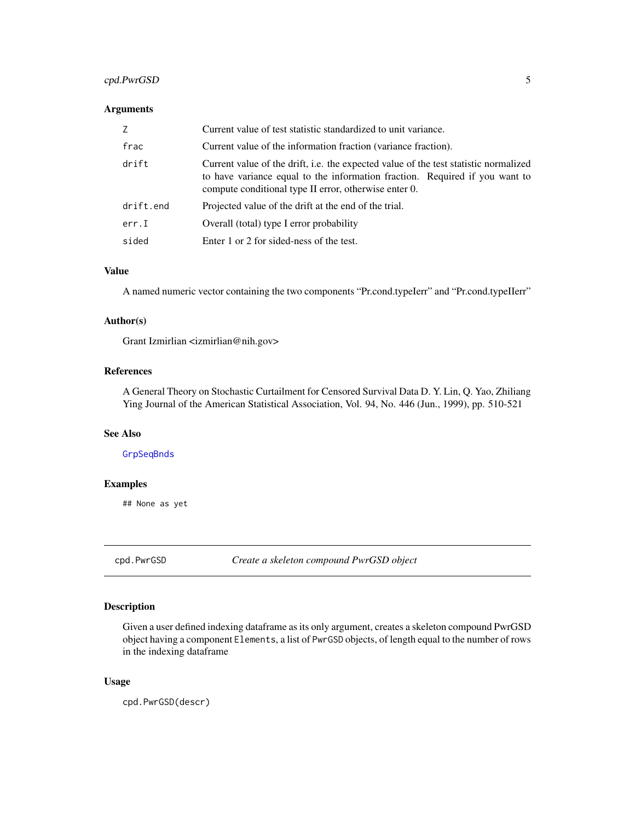# <span id="page-4-0"></span>cpd.PwrGSD 5

### Arguments

| Z         | Current value of test statistic standardized to unit variance.                                                                                                                                                               |
|-----------|------------------------------------------------------------------------------------------------------------------------------------------------------------------------------------------------------------------------------|
| frac      | Current value of the information fraction (variance fraction).                                                                                                                                                               |
| drift     | Current value of the drift, i.e. the expected value of the test statistic normalized<br>to have variance equal to the information fraction. Required if you want to<br>compute conditional type II error, otherwise enter 0. |
| drift.end | Projected value of the drift at the end of the trial.                                                                                                                                                                        |
| err.I     | Overall (total) type I error probability                                                                                                                                                                                     |
| sided     | Enter 1 or 2 for sided-ness of the test.                                                                                                                                                                                     |

### Value

A named numeric vector containing the two components "Pr.cond.typeIerr" and "Pr.cond.typeIIerr"

# Author(s)

Grant Izmirlian <izmirlian@nih.gov>

# References

A General Theory on Stochastic Curtailment for Censored Survival Data D. Y. Lin, Q. Yao, Zhiliang Ying Journal of the American Statistical Association, Vol. 94, No. 446 (Jun., 1999), pp. 510-521

# See Also

[GrpSeqBnds](#page-14-1)

# Examples

## None as yet

<span id="page-4-1"></span>cpd.PwrGSD *Create a skeleton compound PwrGSD object*

### Description

Given a user defined indexing dataframe as its only argument, creates a skeleton compound PwrGSD object having a component Elements, a list of PwrGSD objects, of length equal to the number of rows in the indexing dataframe

### Usage

cpd.PwrGSD(descr)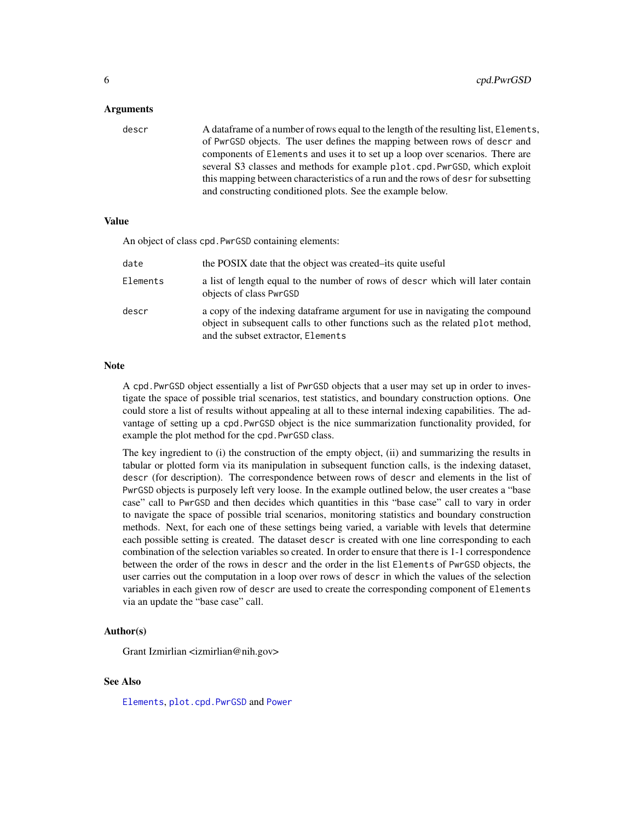#### <span id="page-5-0"></span>Arguments

descr A dataframe of a number of rows equal to the length of the resulting list, Elements, of PwrGSD objects. The user defines the mapping between rows of descr and components of Elements and uses it to set up a loop over scenarios. There are several S3 classes and methods for example plot.cpd.PwrGSD, which exploit this mapping between characteristics of a run and the rows of desr for subsetting and constructing conditioned plots. See the example below.

### Value

An object of class cpd.PwrGSD containing elements:

| date     | the POSIX date that the object was created–its quite useful                                                                                                                                           |
|----------|-------------------------------------------------------------------------------------------------------------------------------------------------------------------------------------------------------|
| Elements | a list of length equal to the number of rows of descr which will later contain<br>objects of class PwrGSD                                                                                             |
| descr    | a copy of the indexing data frame argument for use in navigating the compound<br>object in subsequent calls to other functions such as the related plot method,<br>and the subset extractor, Elements |

### Note

A cpd.PwrGSD object essentially a list of PwrGSD objects that a user may set up in order to investigate the space of possible trial scenarios, test statistics, and boundary construction options. One could store a list of results without appealing at all to these internal indexing capabilities. The advantage of setting up a cpd.PwrGSD object is the nice summarization functionality provided, for example the plot method for the cpd.PwrGSD class.

The key ingredient to (i) the construction of the empty object, (ii) and summarizing the results in tabular or plotted form via its manipulation in subsequent function calls, is the indexing dataset, descr (for description). The correspondence between rows of descr and elements in the list of PwrGSD objects is purposely left very loose. In the example outlined below, the user creates a "base case" call to PwrGSD and then decides which quantities in this "base case" call to vary in order to navigate the space of possible trial scenarios, monitoring statistics and boundary construction methods. Next, for each one of these settings being varied, a variable with levels that determine each possible setting is created. The dataset descr is created with one line corresponding to each combination of the selection variables so created. In order to ensure that there is 1-1 correspondence between the order of the rows in descr and the order in the list Elements of PwrGSD objects, the user carries out the computation in a loop over rows of descr in which the values of the selection variables in each given row of descr are used to create the corresponding component of Elements via an update the "base case" call.

### Author(s)

Grant Izmirlian <izmirlian@nih.gov>

### See Also

[Elements](#page-12-1), [plot.cpd.PwrGSD](#page-31-1) and [Power](#page-35-1)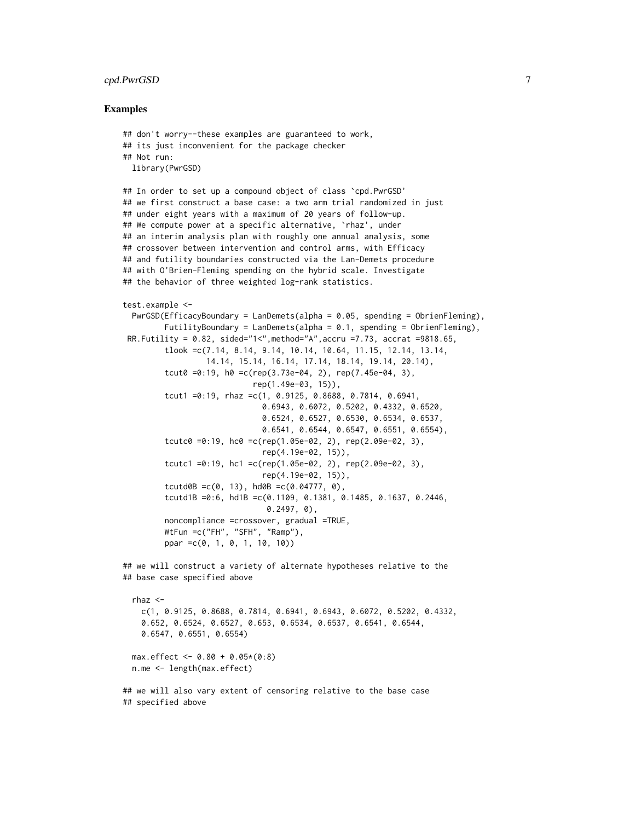### cpd.PwrGSD 7

#### Examples

```
## don't worry--these examples are guaranteed to work,
## its just inconvenient for the package checker
## Not run:
 library(PwrGSD)
## In order to set up a compound object of class `cpd.PwrGSD'
## we first construct a base case: a two arm trial randomized in just
## under eight years with a maximum of 20 years of follow-up.
## We compute power at a specific alternative, `rhaz', under
## an interim analysis plan with roughly one annual analysis, some
## crossover between intervention and control arms, with Efficacy
## and futility boundaries constructed via the Lan-Demets procedure
## with O'Brien-Fleming spending on the hybrid scale. Investigate
## the behavior of three weighted log-rank statistics.
test.example <-
 PwrGSD(EfficacyBoundary = LanDemets(alpha = 0.05, spending = ObrienFleming),
         FutilityBoundary = LanDemets(alpha = 0.1, spending = ObrienFleming),
 RR.Futility = 0.82, sided="1<", method="A", accru =7.73, accrat =9818.65,
         tlook =c(7.14, 8.14, 9.14, 10.14, 10.64, 11.15, 12.14, 13.14,
                 14.14, 15.14, 16.14, 17.14, 18.14, 19.14, 20.14),
         tcut0 =0:19, h0 =c(rep(3.73e-04, 2), rep(7.45e-04, 3),
                            rep(1.49e-03, 15)),
         tcut1 =0:19, rhaz =c(1, 0.9125, 0.8688, 0.7814, 0.6941,
                              0.6943, 0.6072, 0.5202, 0.4332, 0.6520,
                              0.6524, 0.6527, 0.6530, 0.6534, 0.6537,
                              0.6541, 0.6544, 0.6547, 0.6551, 0.6554),
         tcutc0 =0:19, hc0 = c(rep(1.05e-02, 2), rep(2.09e-02, 3),rep(4.19e-02, 15)),
         tcutc1 =0:19, hc1 =c(rep(1.05e-02, 2), rep(2.09e-02, 3),
                              rep(4.19e-02, 15)),
         tcutd0B =c(0, 13), hd0B =c(0.04777, 0),
         tcutd1B =0:6, hd1B =c(0.1109, 0.1381, 0.1485, 0.1637, 0.2446,
                               0.2497, 0),
         noncompliance =crossover, gradual =TRUE,
        WtFun =c("FH", "SFH", "Ramp"),
        ppar =c(0, 1, 0, 1, 10, 10))
## we will construct a variety of alternate hypotheses relative to the
## base case specified above
 rhaz <-
   c(1, 0.9125, 0.8688, 0.7814, 0.6941, 0.6943, 0.6072, 0.5202, 0.4332,
    0.652, 0.6524, 0.6527, 0.653, 0.6534, 0.6537, 0.6541, 0.6544,
   0.6547, 0.6551, 0.6554)
 max.effect <- 0.80 + 0.05*(0:8)n.me <- length(max.effect)
## we will also vary extent of censoring relative to the base case
## specified above
```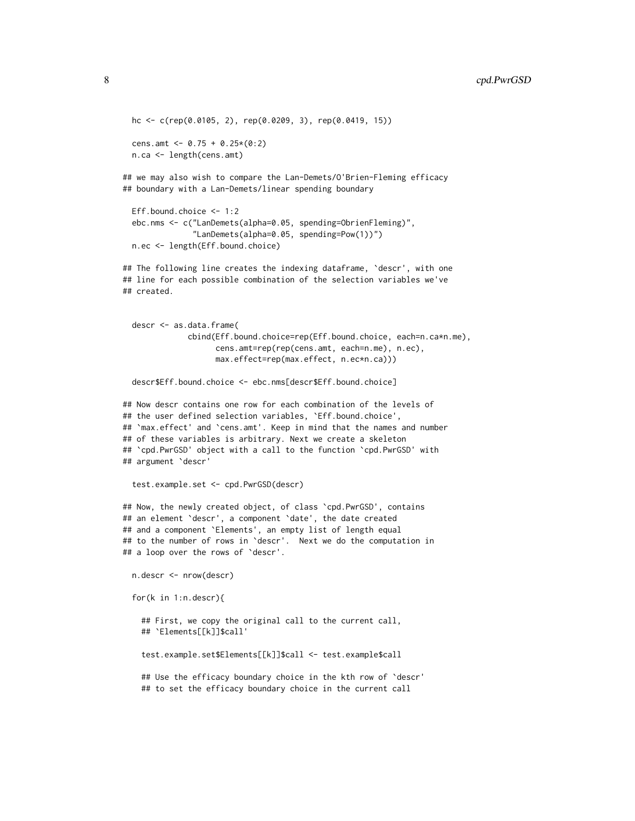```
hc <- c(rep(0.0105, 2), rep(0.0209, 3), rep(0.0419, 15))
 cens.amt <- 0.75 + 0.25*(0:2)n.ca <- length(cens.amt)
## we may also wish to compare the Lan-Demets/O'Brien-Fleming efficacy
```
## boundary with a Lan-Demets/linear spending boundary

```
Eff.bound.choice <- 1:2
ebc.nms <- c("LanDemets(alpha=0.05, spending=ObrienFleming)",
             "LanDemets(alpha=0.05, spending=Pow(1))")
n.ec <- length(Eff.bound.choice)
```
## The following line creates the indexing dataframe, `descr', with one ## line for each possible combination of the selection variables we've ## created.

```
descr <- as.data.frame(
            cbind(Eff.bound.choice=rep(Eff.bound.choice, each=n.ca*n.me),
                  cens.amt=rep(rep(cens.amt, each=n.me), n.ec),
                  max.effect=rep(max.effect, n.ec*n.ca)))
```
descr\$Eff.bound.choice <- ebc.nms[descr\$Eff.bound.choice]

```
## Now descr contains one row for each combination of the levels of
## the user defined selection variables, `Eff.bound.choice',
## `max.effect' and `cens.amt'. Keep in mind that the names and number
## of these variables is arbitrary. Next we create a skeleton
## `cpd.PwrGSD' object with a call to the function `cpd.PwrGSD' with
## argument `descr'
```

```
test.example.set <- cpd.PwrGSD(descr)
```
## Now, the newly created object, of class `cpd.PwrGSD', contains ## an element `descr', a component `date', the date created ## and a component `Elements', an empty list of length equal ## to the number of rows in `descr'. Next we do the computation in ## a loop over the rows of `descr'.

```
n.descr <- nrow(descr)
```

```
for(k in 1:n.descr){
```
## First, we copy the original call to the current call, ## `Elements[[k]]\$call'

test.example.set\$Elements[[k]]\$call <- test.example\$call

## Use the efficacy boundary choice in the kth row of 'descr' ## to set the efficacy boundary choice in the current call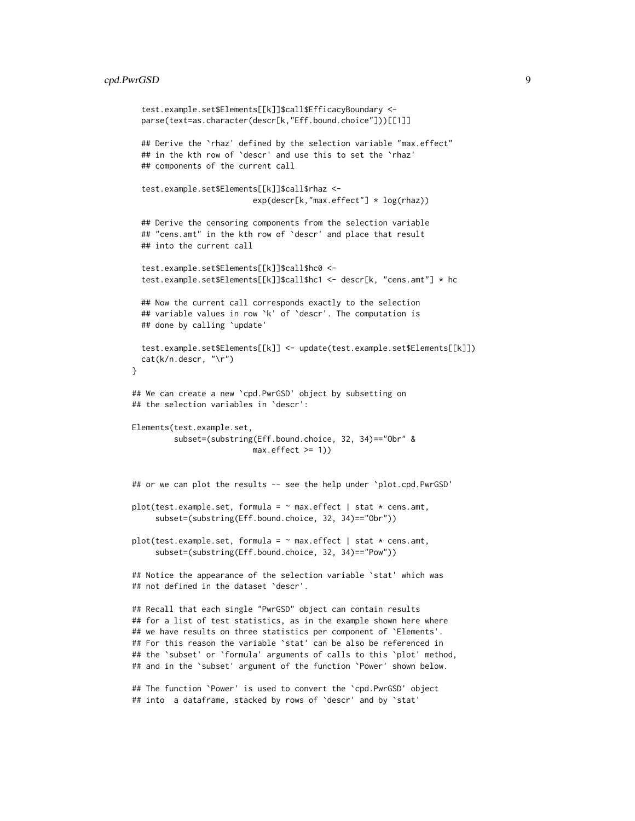### cpd.PwrGSD 9

```
test.example.set$Elements[[k]]$call$EfficacyBoundary <-
  parse(text=as.character(descr[k,"Eff.bound.choice"]))[[1]]
  ## Derive the `rhaz' defined by the selection variable "max.effect"
  ## in the kth row of `descr' and use this to set the `rhaz'
  ## components of the current call
  test.example.set$Elements[[k]]$call$rhaz <-
                          exp(descr[k,"max.effect"] * log(rhaz))
  ## Derive the censoring components from the selection variable
  ## "cens.amt" in the kth row of `descr' and place that result
  ## into the current call
  test.example.set$Elements[[k]]$call$hc0 <-
  test.example.set$Elements[[k]]$call$hc1 <- descr[k, "cens.amt"] * hc
  ## Now the current call corresponds exactly to the selection
  ## variable values in row `k' of `descr'. The computation is
  ## done by calling `update'
  test.example.set$Elements[[k]] <- update(test.example.set$Elements[[k]])
  cat(k/n.descr, "\r")
}
## We can create a new `cpd.PwrGSD' object by subsetting on
## the selection variables in `descr':
Elements(test.example.set,
         subset=(substring(Eff.bound.choice, 32, 34)=="Obr" &
                          max. effect \geq 1)## or we can plot the results -- see the help under `plot.cpd.PwrGSD'
plot(test.example.set, formula = \sim max.effect | stat \star cens.amt,
     subset=(substring(Eff.bound.choice, 32, 34)=="Obr"))
plot(test.example.set, formula = ~max.effect | stat * cens.amt,subset=(substring(Eff.bound.choice, 32, 34)=="Pow"))
## Notice the appearance of the selection variable 'stat' which was
## not defined in the dataset `descr'.
## Recall that each single "PwrGSD" object can contain results
## for a list of test statistics, as in the example shown here where
## we have results on three statistics per component of 'Elements'.
## For this reason the variable `stat' can be also be referenced in
## the `subset' or `formula' arguments of calls to this `plot' method,
## and in the 'subset' argument of the function 'Power' shown below.
```
## The function `Power' is used to convert the `cpd.PwrGSD' object ## into a dataframe, stacked by rows of 'descr' and by 'stat'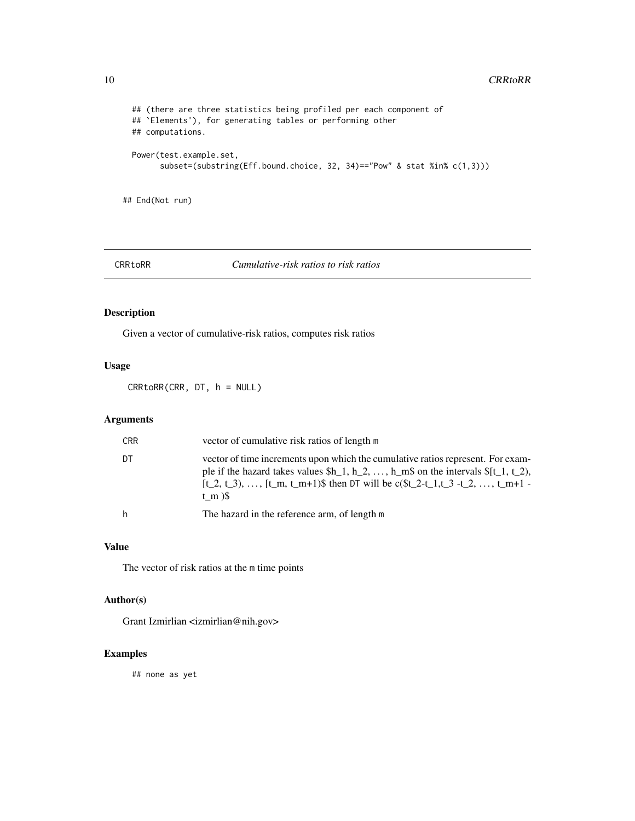```
## (there are three statistics being profiled per each component of
## `Elements'), for generating tables or performing other
## computations.
Power(test.example.set,
     subset=(substring(Eff.bound.choice, 32, 34)=="Pow" & stat %in% c(1,3)))
```
## End(Not run)

CRRtoRR *Cumulative-risk ratios to risk ratios*

# Description

Given a vector of cumulative-risk ratios, computes risk ratios

# Usage

CRRtoRR(CRR, DT, h = NULL)

# Arguments

| <b>CRR</b> | vector of cumulative risk ratios of length m                                                                                                                                                                                                                                            |
|------------|-----------------------------------------------------------------------------------------------------------------------------------------------------------------------------------------------------------------------------------------------------------------------------------------|
| DТ         | vector of time increments upon which the cumulative ratios represent. For exam-<br>ple if the hazard takes values $h_1, h_2, \ldots, h_m\$ on the intervals $f_1, f_2, \ldots, f_m$<br>$[t_2, t_3), \ldots, [t_m, t_m+1)$ then DT will be c(\$t_2-t_1,t_3 -t_2, , t_m+1 -<br>t m $)\$ S |
| h          | The hazard in the reference arm, of length m                                                                                                                                                                                                                                            |

### Value

The vector of risk ratios at the m time points

# Author(s)

Grant Izmirlian <izmirlian@nih.gov>

# Examples

## none as yet

<span id="page-9-0"></span>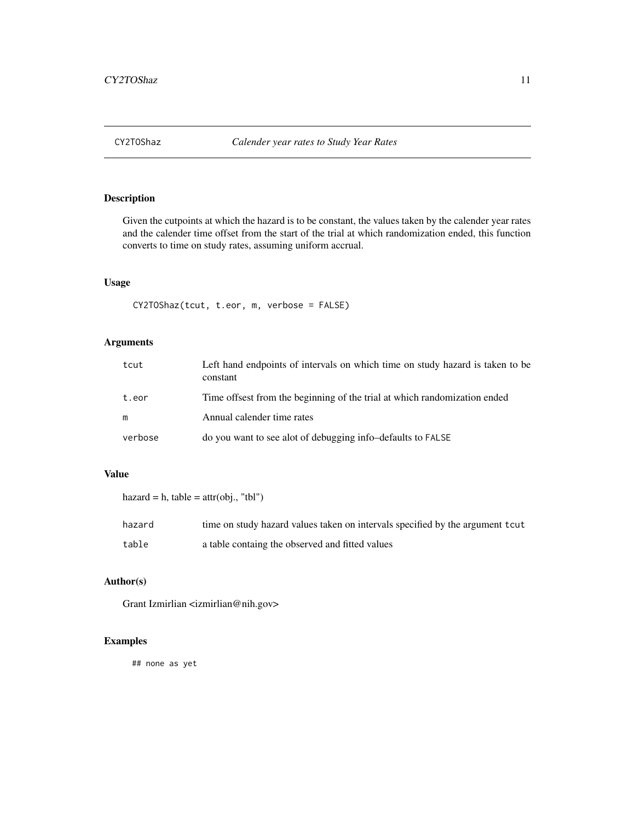<span id="page-10-0"></span>

# Description

Given the cutpoints at which the hazard is to be constant, the values taken by the calender year rates and the calender time offset from the start of the trial at which randomization ended, this function converts to time on study rates, assuming uniform accrual.

# Usage

```
CY2TOShaz(tcut, t.eor, m, verbose = FALSE)
```
# Arguments

| tcut    | Left hand endpoints of intervals on which time on study hazard is taken to be<br>constant |
|---------|-------------------------------------------------------------------------------------------|
| t.eor   | Time offsest from the beginning of the trial at which randomization ended                 |
| m       | Annual calender time rates                                                                |
| verbose | do you want to see alot of debugging info-defaults to FALSE                               |

# Value

```
hazard = h, table = attr(obj., "tbl")hazard time on study hazard values taken on intervals specified by the argument tcut
table a table containg the observed and fitted values
```
# Author(s)

Grant Izmirlian <izmirlian@nih.gov>

# Examples

## none as yet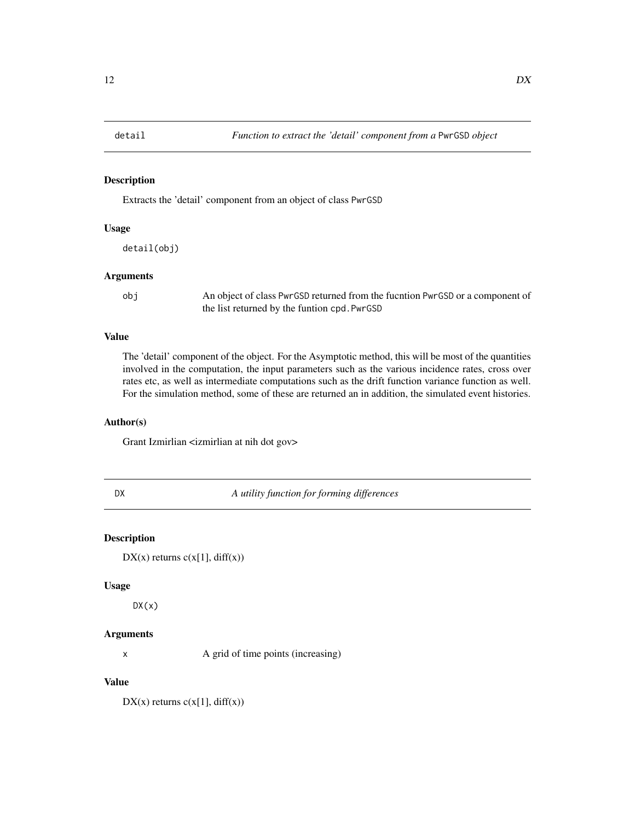<span id="page-11-0"></span>

### Description

Extracts the 'detail' component from an object of class PwrGSD

# Usage

detail(obj)

### Arguments

obj An object of class PwrGSD returned from the fucntion PwrGSD or a component of the list returned by the funtion cpd.PwrGSD

# Value

The 'detail' component of the object. For the Asymptotic method, this will be most of the quantities involved in the computation, the input parameters such as the various incidence rates, cross over rates etc, as well as intermediate computations such as the drift function variance function as well. For the simulation method, some of these are returned an in addition, the simulated event histories.

# Author(s)

Grant Izmirlian <izmirlian at nih dot gov>

DX *A utility function for forming differences*

# Description

 $DX(x)$  returns  $c(x[1], diff(x))$ 

#### Usage

 $DX(x)$ 

### Arguments

x A grid of time points (increasing)

# Value

 $DX(x)$  returns  $c(x[1], diff(x))$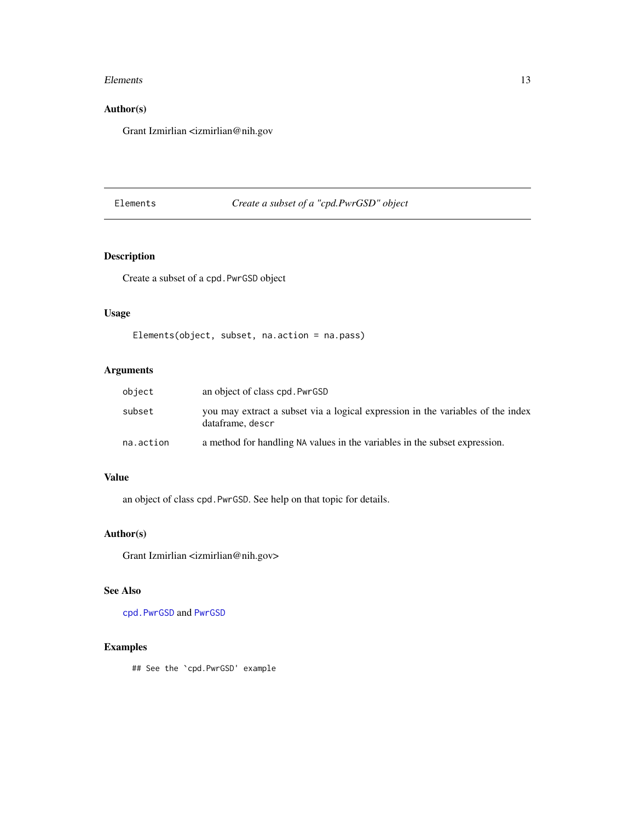### <span id="page-12-0"></span>Elements 13

# Author(s)

Grant Izmirlian <izmirlian@nih.gov

# <span id="page-12-1"></span>Elements *Create a subset of a "cpd.PwrGSD" object*

# Description

Create a subset of a cpd.PwrGSD object

# Usage

```
Elements(object, subset, na.action = na.pass)
```
# Arguments

| object    | an object of class cpd. PwrGSD                                                                      |
|-----------|-----------------------------------------------------------------------------------------------------|
| subset    | you may extract a subset via a logical expression in the variables of the index<br>dataframe, descr |
| na.action | a method for handling NA values in the variables in the subset expression.                          |

# Value

an object of class cpd.PwrGSD. See help on that topic for details.

### Author(s)

Grant Izmirlian <izmirlian@nih.gov>

# See Also

[cpd.PwrGSD](#page-4-1) and [PwrGSD](#page-36-1)

# Examples

## See the `cpd.PwrGSD' example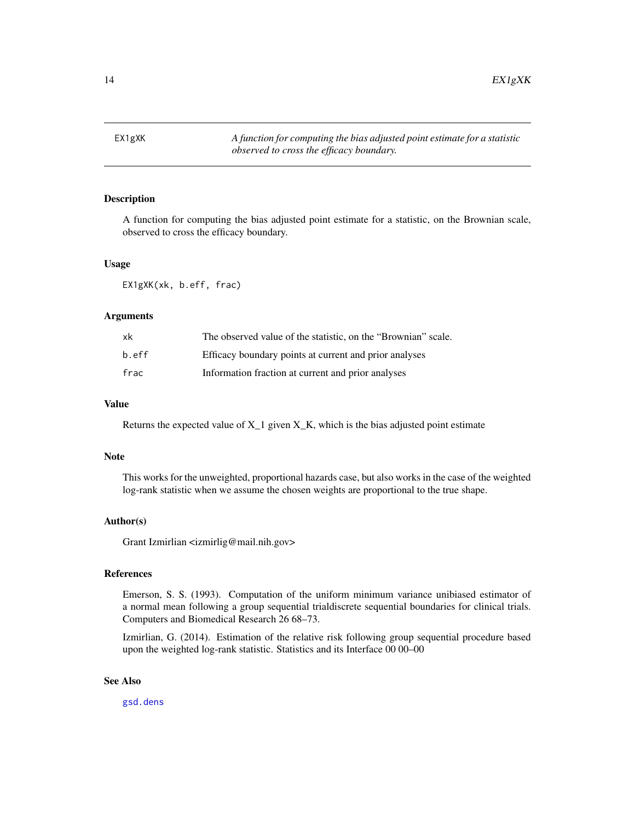<span id="page-13-0"></span>14 EX1gXK

<span id="page-13-1"></span>

# Description

A function for computing the bias adjusted point estimate for a statistic, on the Brownian scale, observed to cross the efficacy boundary.

### Usage

EX1gXK(xk, b.eff, frac)

### Arguments

| xk    | The observed value of the statistic, on the "Brownian" scale. |
|-------|---------------------------------------------------------------|
| b.eff | Efficacy boundary points at current and prior analyses        |
| frac  | Information fraction at current and prior analyses            |

### Value

Returns the expected value of  $X_1$  given  $X_K$ , which is the bias adjusted point estimate

### Note

This works for the unweighted, proportional hazards case, but also works in the case of the weighted log-rank statistic when we assume the chosen weights are proportional to the true shape.

### Author(s)

Grant Izmirlian <izmirlig@mail.nih.gov>

# References

Emerson, S. S. (1993). Computation of the uniform minimum variance unibiased estimator of a normal mean following a group sequential trialdiscrete sequential boundaries for clinical trials. Computers and Biomedical Research 26 68–73.

Izmirlian, G. (2014). Estimation of the relative risk following group sequential procedure based upon the weighted log-rank statistic. Statistics and its Interface 00 00–00

### See Also

[gsd.dens](#page-18-1)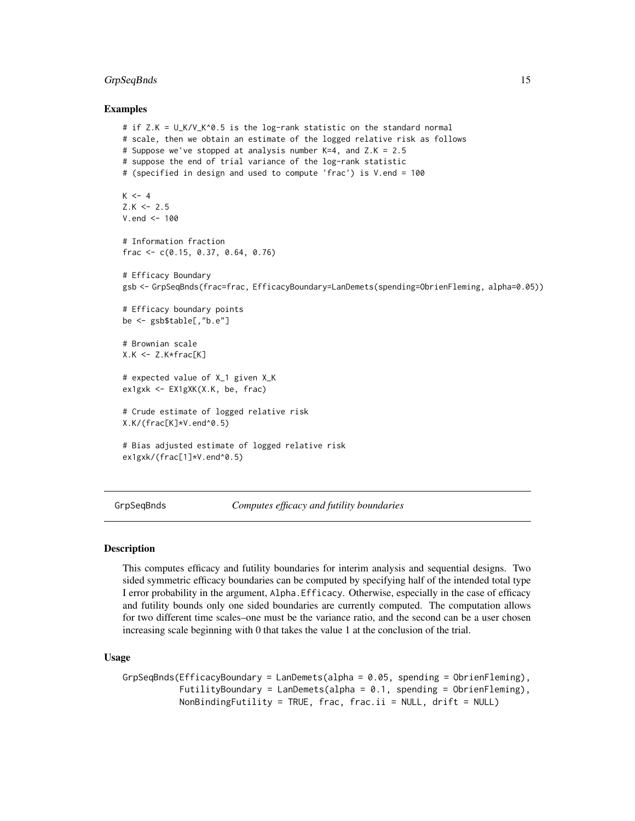### <span id="page-14-0"></span>GrpSeqBnds 15

### Examples

```
# if Z.K = U_K/V_K^0.5 is the log-rank statistic on the standard normal
# scale, then we obtain an estimate of the logged relative risk as follows
# Suppose we've stopped at analysis number K=4, and Z.K = 2.5
# suppose the end of trial variance of the log-rank statistic
# (specified in design and used to compute 'frac') is V.end = 100
K < -4Z.K < - 2.5V.end <- 100
# Information fraction
frac <- c(0.15, 0.37, 0.64, 0.76)
# Efficacy Boundary
gsb <- GrpSeqBnds(frac=frac, EfficacyBoundary=LanDemets(spending=ObrienFleming, alpha=0.05))
# Efficacy boundary points
be <- gsb$table[,"b.e"]
# Brownian scale
X.K < - Z.K * frac[K]# expected value of X_1 given X_K
ex1gxk <- EX1gXK(X.K, be, frac)
# Crude estimate of logged relative risk
X.K/(frac[K]*V.end^0.5)
# Bias adjusted estimate of logged relative risk
ex1gxk/(frac[1]*V.end^0.5)
```
<span id="page-14-1"></span>GrpSeqBnds *Computes efficacy and futility boundaries*

#### Description

This computes efficacy and futility boundaries for interim analysis and sequential designs. Two sided symmetric efficacy boundaries can be computed by specifying half of the intended total type I error probability in the argument, Alpha.Efficacy. Otherwise, especially in the case of efficacy and futility bounds only one sided boundaries are currently computed. The computation allows for two different time scales–one must be the variance ratio, and the second can be a user chosen increasing scale beginning with 0 that takes the value 1 at the conclusion of the trial.

### Usage

```
GrpSeqBnds(EfficacyBoundary = LanDemets(alpha = 0.05, spending = ObrienFleming),
           FutilityBoundary = LanDemets(alpha = 0.1, spending = ObrienFleming),
           NonBindingFutility = TRUE, frac, frac.ii = NULL, drift = NULL)
```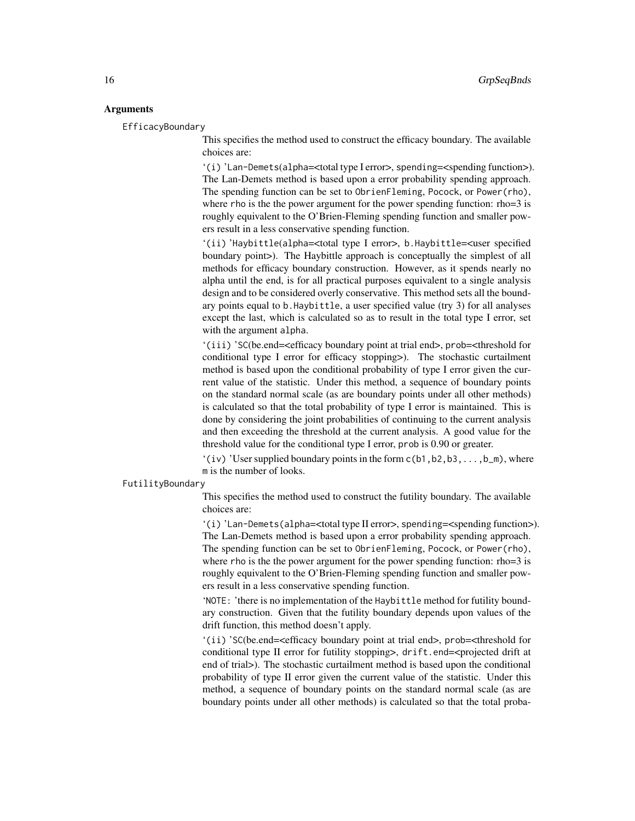### **Arguments**

EfficacyBoundary

This specifies the method used to construct the efficacy boundary. The available choices are:

'(i) 'Lan-Demets(alpha=<total type I error>, spending=<spending function>). The Lan-Demets method is based upon a error probability spending approach. The spending function can be set to ObrienFleming, Pocock, or Power(rho), where rho is the the power argument for the power spending function: rho=3 is roughly equivalent to the O'Brien-Fleming spending function and smaller powers result in a less conservative spending function.

'(ii) 'Haybittle(alpha=<total type I error>, b.Haybittle=<user specified boundary point>). The Haybittle approach is conceptually the simplest of all methods for efficacy boundary construction. However, as it spends nearly no alpha until the end, is for all practical purposes equivalent to a single analysis design and to be considered overly conservative. This method sets all the boundary points equal to b.Haybittle, a user specified value (try 3) for all analyses except the last, which is calculated so as to result in the total type I error, set with the argument alpha.

'(iii) 'SC(be.end=<efficacy boundary point at trial end>, prob=<threshold for conditional type I error for efficacy stopping>). The stochastic curtailment method is based upon the conditional probability of type I error given the current value of the statistic. Under this method, a sequence of boundary points on the standard normal scale (as are boundary points under all other methods) is calculated so that the total probability of type I error is maintained. This is done by considering the joint probabilities of continuing to the current analysis and then exceeding the threshold at the current analysis. A good value for the threshold value for the conditional type I error, prob is 0.90 or greater.

 $'(iv)$  'User supplied boundary points in the form  $c(b1,b2,b3,...,b_m)$ , where m is the number of looks.

### FutilityBoundary

This specifies the method used to construct the futility boundary. The available choices are:

'(i) 'Lan-Demets(alpha=<total type II error>, spending=<spending function>). The Lan-Demets method is based upon a error probability spending approach. The spending function can be set to ObrienFleming, Pocock, or Power(rho), where rho is the the power argument for the power spending function: rho=3 is roughly equivalent to the O'Brien-Fleming spending function and smaller powers result in a less conservative spending function.

'NOTE: 'there is no implementation of the Haybittle method for futility boundary construction. Given that the futility boundary depends upon values of the drift function, this method doesn't apply.

'(ii) 'SC(be.end=<efficacy boundary point at trial end>, prob=<threshold for conditional type II error for futility stopping>, drift.end=<projected drift at end of trial>). The stochastic curtailment method is based upon the conditional probability of type II error given the current value of the statistic. Under this method, a sequence of boundary points on the standard normal scale (as are boundary points under all other methods) is calculated so that the total proba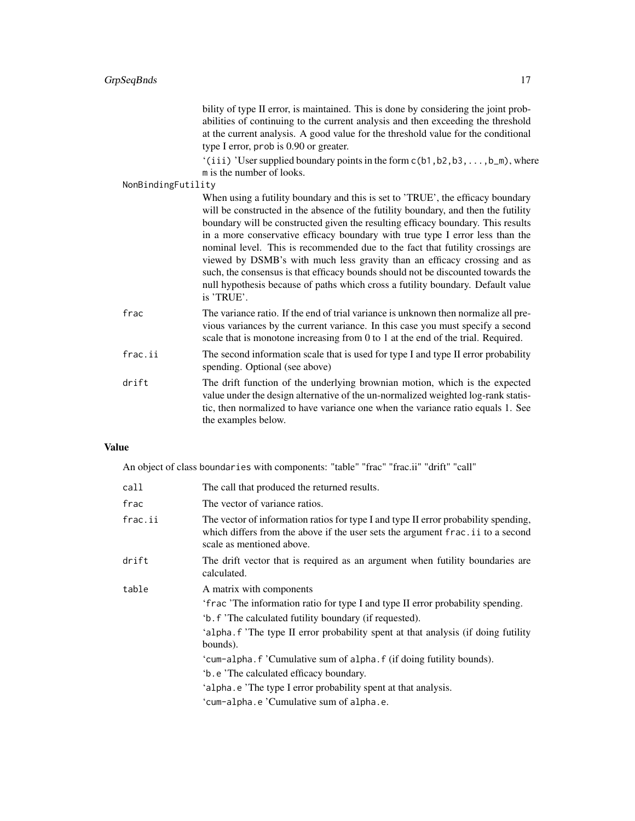bility of type II error, is maintained. This is done by considering the joint probabilities of continuing to the current analysis and then exceeding the threshold at the current analysis. A good value for the threshold value for the conditional type I error, prob is 0.90 or greater.

'(iii) 'User supplied boundary points in the form c(b1,b2,b3,...,b\_m), where m is the number of looks.

# NonBindingFutility

| . |                                                                                                                                                                       |
|---|-----------------------------------------------------------------------------------------------------------------------------------------------------------------------|
|   | When using a futility boundary and this is set to 'TRUE', the efficacy boundary<br>will be constructed in the absence of the futility boundary, and then the futility |
|   |                                                                                                                                                                       |
|   | boundary will be constructed given the resulting efficacy boundary. This results                                                                                      |
|   | in a more conservative efficacy boundary with true type I error less than the                                                                                         |
|   | nominal level. This is recommended due to the fact that futility crossings are                                                                                        |
|   | viewed by DSMB's with much less gravity than an efficacy crossing and as                                                                                              |
|   | such, the consensus is that efficacy bounds should not be discounted towards the                                                                                      |
|   | null hypothesis because of paths which cross a futility boundary. Default value<br>is 'TRUE'.                                                                         |
|   | The variance ratio. If the end of trial variance is unknown then normalize all pre-                                                                                   |

- frac The variance ratio. If the end of trial variance is unknown then normalize all previous variances by the current variance. In this case you must specify a second scale that is monotone increasing from 0 to 1 at the end of the trial. Required.
- frac.ii The second information scale that is used for type I and type II error probability spending. Optional (see above)
- drift The drift function of the underlying brownian motion, which is the expected value under the design alternative of the un-normalized weighted log-rank statistic, then normalized to have variance one when the variance ratio equals 1. See the examples below.

# Value

An object of class boundaries with components: "table" "frac" "frac.ii" "drift" "call"

| call    | The call that produced the returned results.                                                                                                                                                                                                                                                                                                                                                                                                                                                               |
|---------|------------------------------------------------------------------------------------------------------------------------------------------------------------------------------------------------------------------------------------------------------------------------------------------------------------------------------------------------------------------------------------------------------------------------------------------------------------------------------------------------------------|
| frac    | The vector of variance ratios.                                                                                                                                                                                                                                                                                                                                                                                                                                                                             |
| frac.ii | The vector of information ratios for type I and type II error probability spending,<br>which differs from the above if the user sets the argument frac. ii to a second<br>scale as mentioned above.                                                                                                                                                                                                                                                                                                        |
| drift   | The drift vector that is required as an argument when futility boundaries are<br>calculated.                                                                                                                                                                                                                                                                                                                                                                                                               |
| table   | A matrix with components<br>'frac 'The information ratio for type I and type II error probability spending.<br>'b. f 'The calculated futility boundary (if requested).<br>'alpha. f 'The type II error probability spent at that analysis (if doing futility<br>bounds).<br>'cum-alpha. f 'Cumulative sum of alpha. f (if doing futility bounds).<br>b. e 'The calculated efficacy boundary.<br>'alpha.e 'The type I error probability spent at that analysis.<br>'cum-alpha.e 'Cumulative sum of alpha.e. |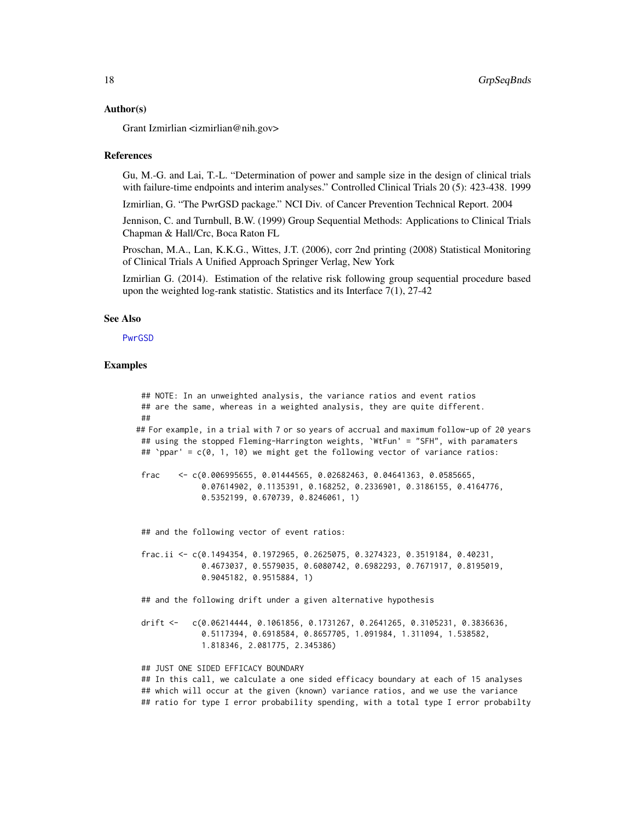#### <span id="page-17-0"></span>Author(s)

Grant Izmirlian <izmirlian@nih.gov>

#### References

Gu, M.-G. and Lai, T.-L. "Determination of power and sample size in the design of clinical trials with failure-time endpoints and interim analyses." Controlled Clinical Trials 20 (5): 423-438. 1999

Izmirlian, G. "The PwrGSD package." NCI Div. of Cancer Prevention Technical Report. 2004

Jennison, C. and Turnbull, B.W. (1999) Group Sequential Methods: Applications to Clinical Trials Chapman & Hall/Crc, Boca Raton FL

Proschan, M.A., Lan, K.K.G., Wittes, J.T. (2006), corr 2nd printing (2008) Statistical Monitoring of Clinical Trials A Unified Approach Springer Verlag, New York

Izmirlian G. (2014). Estimation of the relative risk following group sequential procedure based upon the weighted log-rank statistic. Statistics and its Interface 7(1), 27-42

### See Also

[PwrGSD](#page-36-1)

### Examples

```
## NOTE: In an unweighted analysis, the variance ratios and event ratios
## are the same, whereas in a weighted analysis, they are quite different.
##
## For example, in a trial with 7 or so years of accrual and maximum follow-up of 20 years
 ## using the stopped Fleming-Harrington weights, `WtFun' = "SFH", with paramaters
## `ppar' = c(0, 1, 10) we might get the following vector of variance ratios:
 frac \leq \leq (0.006995655, 0.01444565, 0.02682463, 0.04641363, 0.0585665,0.07614902, 0.1135391, 0.168252, 0.2336901, 0.3186155, 0.4164776,
              0.5352199, 0.670739, 0.8246061, 1)
 ## and the following vector of event ratios:
 frac.ii <- c(0.1494354, 0.1972965, 0.2625075, 0.3274323, 0.3519184, 0.40231,
              0.4673037, 0.5579035, 0.6080742, 0.6982293, 0.7671917, 0.8195019,
              0.9045182, 0.9515884, 1)
 ## and the following drift under a given alternative hypothesis
 drift <- c(0.06214444, 0.1061856, 0.1731267, 0.2641265, 0.3105231, 0.3836636,
              0.5117394, 0.6918584, 0.8657705, 1.091984, 1.311094, 1.538582,
              1.818346, 2.081775, 2.345386)
 ## JUST ONE SIDED EFFICACY BOUNDARY
 ## In this call, we calculate a one sided efficacy boundary at each of 15 analyses
 ## which will occur at the given (known) variance ratios, and we use the variance
## ratio for type I error probability spending, with a total type I error probabilty
```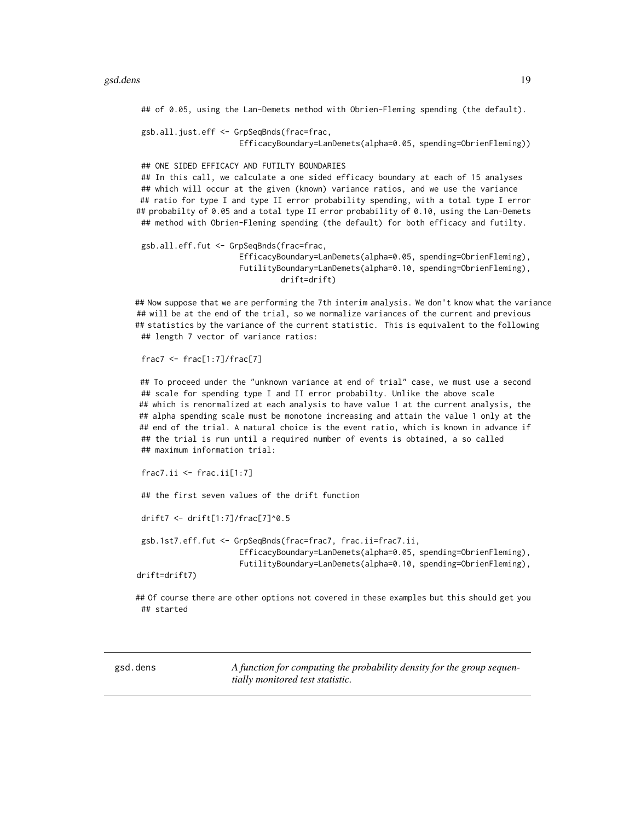### <span id="page-18-0"></span>gsd.dens 19

## of 0.05, using the Lan-Demets method with Obrien-Fleming spending (the default).

gsb.all.just.eff <- GrpSeqBnds(frac=frac, EfficacyBoundary=LanDemets(alpha=0.05, spending=ObrienFleming))

## ONE SIDED EFFICACY AND FUTILTY BOUNDARIES ## In this call, we calculate a one sided efficacy boundary at each of 15 analyses ## which will occur at the given (known) variance ratios, and we use the variance ## ratio for type I and type II error probability spending, with a total type I error ## probabilty of 0.05 and a total type II error probability of 0.10, using the Lan-Demets ## method with Obrien-Fleming spending (the default) for both efficacy and futilty.

gsb.all.eff.fut <- GrpSeqBnds(frac=frac, EfficacyBoundary=LanDemets(alpha=0.05, spending=ObrienFleming), FutilityBoundary=LanDemets(alpha=0.10, spending=ObrienFleming), drift=drift)

## Now suppose that we are performing the 7th interim analysis. We don't know what the variance ## will be at the end of the trial, so we normalize variances of the current and previous ## statistics by the variance of the current statistic. This is equivalent to the following ## length 7 vector of variance ratios:

 $frac7 < -$  frac $[1:7]/$ frac $[7]$ 

## To proceed under the "unknown variance at end of trial" case, we must use a second ## scale for spending type I and II error probabilty. Unlike the above scale ## which is renormalized at each analysis to have value 1 at the current analysis, the ## alpha spending scale must be monotone increasing and attain the value 1 only at the ## end of the trial. A natural choice is the event ratio, which is known in advance if ## the trial is run until a required number of events is obtained, a so called ## maximum information trial:

```
frac7.ii < - frac.ii[1:7]
```
## the first seven values of the drift function

drift7 <- drift[1:7]/frac[7]^0.5

gsb.1st7.eff.fut <- GrpSeqBnds(frac=frac7, frac.ii=frac7.ii, EfficacyBoundary=LanDemets(alpha=0.05, spending=ObrienFleming), FutilityBoundary=LanDemets(alpha=0.10, spending=ObrienFleming),

drift=drift7)

## Of course there are other options not covered in these examples but this should get you ## started

<span id="page-18-1"></span>gsd.dens *A function for computing the probability density for the group sequentially monitored test statistic.*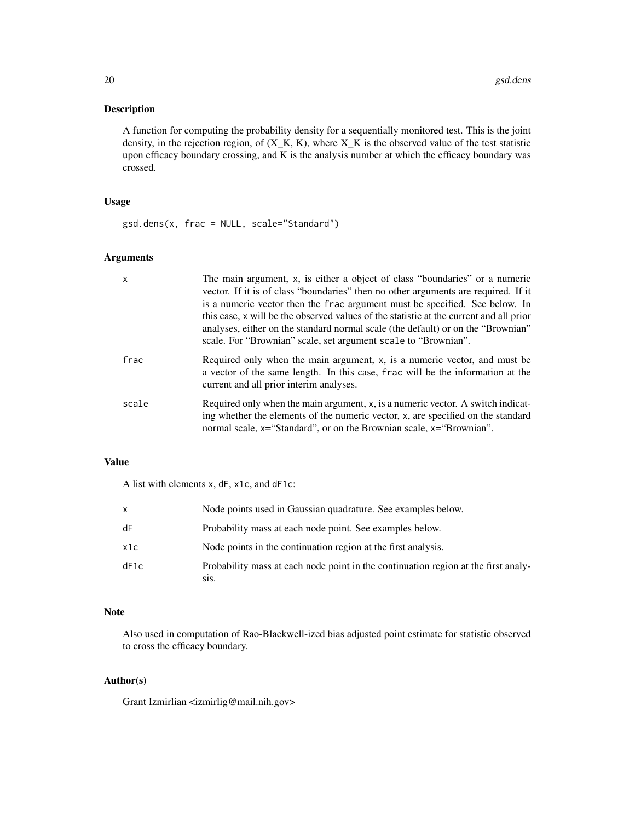### Description

A function for computing the probability density for a sequentially monitored test. This is the joint density, in the rejection region, of  $(X_K, K)$ , where  $X_K$  is the observed value of the test statistic upon efficacy boundary crossing, and K is the analysis number at which the efficacy boundary was crossed.

# Usage

gsd.dens(x, frac = NULL, scale="Standard")

# Arguments

| $\mathsf{x}$ | The main argument, x, is either a object of class "boundaries" or a numeric<br>vector. If it is of class "boundaries" then no other arguments are required. If it<br>is a numeric vector then the frac argument must be specified. See below. In<br>this case, x will be the observed values of the statistic at the current and all prior<br>analyses, either on the standard normal scale (the default) or on the "Brownian"<br>scale. For "Brownian" scale, set argument scale to "Brownian". |
|--------------|--------------------------------------------------------------------------------------------------------------------------------------------------------------------------------------------------------------------------------------------------------------------------------------------------------------------------------------------------------------------------------------------------------------------------------------------------------------------------------------------------|
| frac         | Required only when the main argument, x, is a numeric vector, and must be<br>a vector of the same length. In this case, frac will be the information at the<br>current and all prior interim analyses.                                                                                                                                                                                                                                                                                           |
| scale        | Required only when the main argument, x, is a numeric vector. A switch indicat-<br>ing whether the elements of the numeric vector, x, are specified on the standard<br>normal scale, x="Standard", or on the Brownian scale, x="Brownian".                                                                                                                                                                                                                                                       |

### Value

A list with elements x, dF, x1c, and dF1c:

| X    | Node points used in Gaussian quadrature. See examples below.                                            |
|------|---------------------------------------------------------------------------------------------------------|
| dF   | Probability mass at each node point. See examples below.                                                |
| x1c  | Node points in the continuation region at the first analysis.                                           |
| dF1c | Probability mass at each node point in the continuation region at the first analy-<br>S <sub>1</sub> S. |

### Note

Also used in computation of Rao-Blackwell-ized bias adjusted point estimate for statistic observed to cross the efficacy boundary.

# Author(s)

Grant Izmirlian <izmirlig@mail.nih.gov>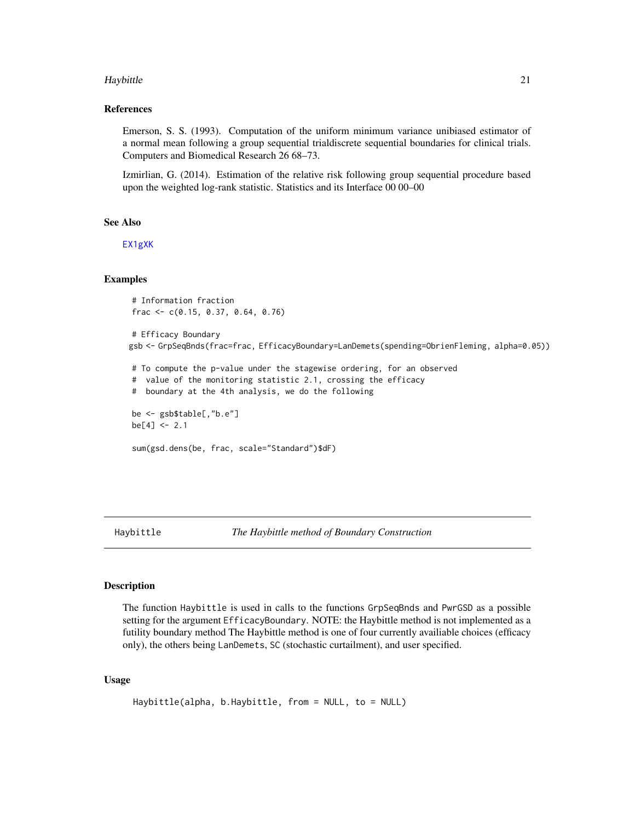### <span id="page-20-0"></span>Haybittle 21

### References

Emerson, S. S. (1993). Computation of the uniform minimum variance unibiased estimator of a normal mean following a group sequential trialdiscrete sequential boundaries for clinical trials. Computers and Biomedical Research 26 68–73.

Izmirlian, G. (2014). Estimation of the relative risk following group sequential procedure based upon the weighted log-rank statistic. Statistics and its Interface 00 00–00

# See Also

[EX1gXK](#page-13-1)

# Examples

```
# Information fraction
frac <- c(0.15, 0.37, 0.64, 0.76)
# Efficacy Boundary
gsb <- GrpSeqBnds(frac=frac, EfficacyBoundary=LanDemets(spending=ObrienFleming, alpha=0.05))
# To compute the p-value under the stagewise ordering, for an observed
# value of the monitoring statistic 2.1, crossing the efficacy
# boundary at the 4th analysis, we do the following
be <- gsb$table[,"b.e"]
be[4] < -2.1sum(gsd.dens(be, frac, scale="Standard")$dF)
```
Haybittle *The Haybittle method of Boundary Construction*

### Description

The function Haybittle is used in calls to the functions GrpSeqBnds and PwrGSD as a possible setting for the argument EfficacyBoundary. NOTE: the Haybittle method is not implemented as a futility boundary method The Haybittle method is one of four currently availiable choices (efficacy only), the others being LanDemets, SC (stochastic curtailment), and user specified.

### Usage

```
Haybittle(alpha, b.Haybittle, from = NULL, to = NULL)
```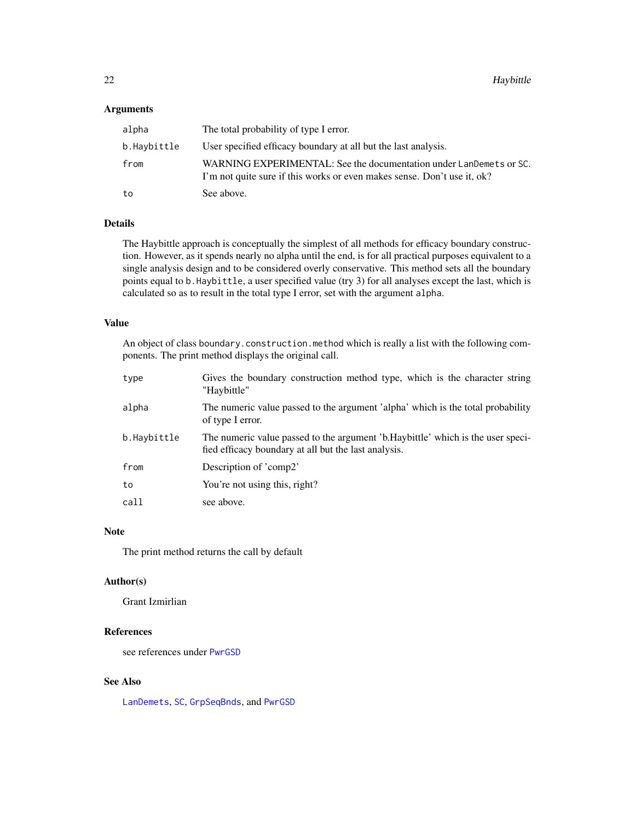### <span id="page-21-0"></span>Arguments

| alpha       | The total probability of type I error.                                                                                                        |
|-------------|-----------------------------------------------------------------------------------------------------------------------------------------------|
| b.Haybittle | User specified efficacy boundary at all but the last analysis.                                                                                |
| from        | WARNING EXPERIMENTAL: See the documentation under LanDemets or SC.<br>I'm not quite sure if this works or even makes sense. Don't use it, ok? |
| to          | See above.                                                                                                                                    |

# Details

The Haybittle approach is conceptually the simplest of all methods for efficacy boundary construction. However, as it spends nearly no alpha until the end, is for all practical purposes equivalent to a single analysis design and to be considered overly conservative. This method sets all the boundary points equal to b.Haybittle, a user specified value (try 3) for all analyses except the last, which is calculated so as to result in the total type I error, set with the argument alpha.

#### Value

An object of class boundary.construction.method which is really a list with the following components. The print method displays the original call.

| type        | Gives the boundary construction method type, which is the character string<br>"Haybittle"                                                |
|-------------|------------------------------------------------------------------------------------------------------------------------------------------|
| alpha       | The numeric value passed to the argument 'alpha' which is the total probability<br>of type I error.                                      |
| b.Haybittle | The numeric value passed to the argument 'b. Haybittle' which is the user speci-<br>fied efficacy boundary at all but the last analysis. |
| from        | Description of 'comp2'                                                                                                                   |
| to          | You're not using this, right?                                                                                                            |
| call        | see above.                                                                                                                               |

# Note

The print method returns the call by default

#### Author(s)

Grant Izmirlian

# References

see references under [PwrGSD](#page-36-1)

### See Also

[LanDemets](#page-24-1), [SC](#page-45-1), [GrpSeqBnds](#page-14-1), and [PwrGSD](#page-36-1)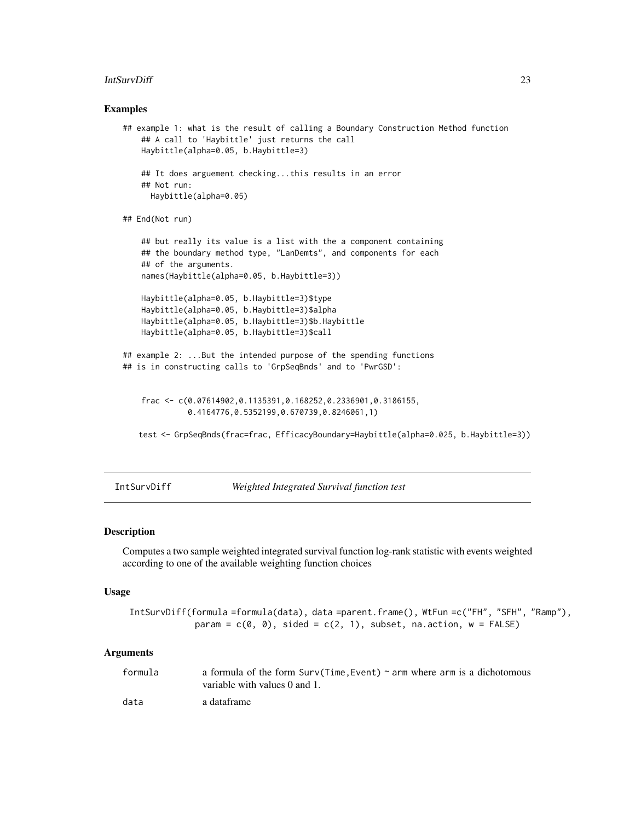### <span id="page-22-0"></span>IntSurvDiff 23

### Examples

```
## example 1: what is the result of calling a Boundary Construction Method function
    ## A call to 'Haybittle' just returns the call
   Haybittle(alpha=0.05, b.Haybittle=3)
    ## It does arguement checking...this results in an error
    ## Not run:
     Haybittle(alpha=0.05)
## End(Not run)
    ## but really its value is a list with the a component containing
    ## the boundary method type, "LanDemts", and components for each
    ## of the arguments.
   names(Haybittle(alpha=0.05, b.Haybittle=3))
   Haybittle(alpha=0.05, b.Haybittle=3)$type
   Haybittle(alpha=0.05, b.Haybittle=3)$alpha
   Haybittle(alpha=0.05, b.Haybittle=3)$b.Haybittle
   Haybittle(alpha=0.05, b.Haybittle=3)$call
## example 2: ...But the intended purpose of the spending functions
## is in constructing calls to 'GrpSeqBnds' and to 'PwrGSD':
    frac <- c(0.07614902,0.1135391,0.168252,0.2336901,0.3186155,
              0.4164776,0.5352199,0.670739,0.8246061,1)
   test <- GrpSeqBnds(frac=frac, EfficacyBoundary=Haybittle(alpha=0.025, b.Haybittle=3))
```
<span id="page-22-1"></span>IntSurvDiff *Weighted Integrated Survival function test*

# **Description**

Computes a two sample weighted integrated survival function log-rank statistic with events weighted according to one of the available weighting function choices

### Usage

```
IntSurvDiff(formula =formula(data), data =parent.frame(), WtFun =c("FH", "SFH", "Ramp"),
             param = c(\theta, \theta), sided = c(2, 1), subset, na.action, w = FALSE)
```
#### Arguments

| formula | a formula of the form $Surv(Time, Event) \sim arm$ where arm is a dichotomous<br>variable with values 0 and 1. |
|---------|----------------------------------------------------------------------------------------------------------------|
| data    | a dataframe                                                                                                    |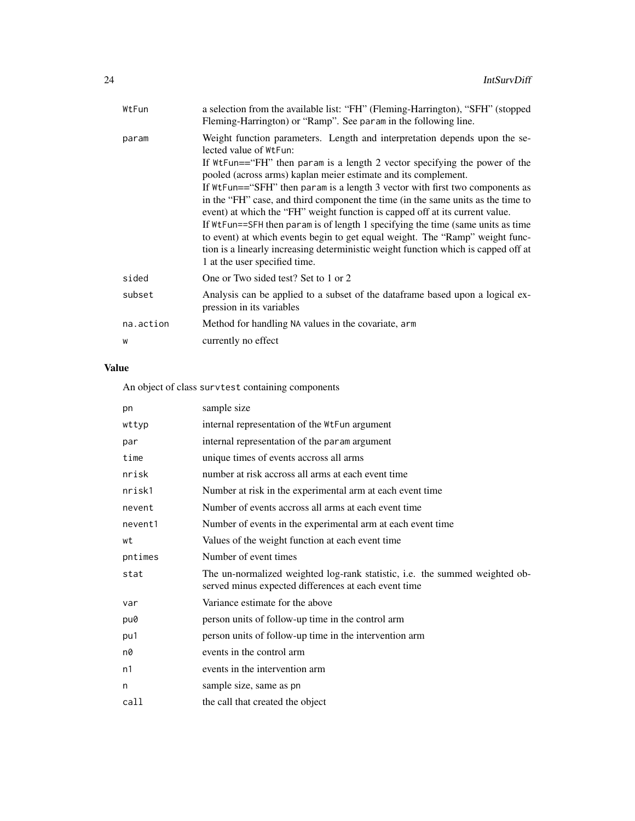| WtFun     | a selection from the available list: "FH" (Fleming-Harrington), "SFH" (stopped<br>Fleming-Harrington) or "Ramp". See param in the following line.                                                                                                                                                                                                                                                                                                                                                                                                                                                                                                                                                                                                                                                     |
|-----------|-------------------------------------------------------------------------------------------------------------------------------------------------------------------------------------------------------------------------------------------------------------------------------------------------------------------------------------------------------------------------------------------------------------------------------------------------------------------------------------------------------------------------------------------------------------------------------------------------------------------------------------------------------------------------------------------------------------------------------------------------------------------------------------------------------|
| param     | Weight function parameters. Length and interpretation depends upon the se-<br>lected value of WtFun:<br>If $WtFun=='FH''$ then param is a length 2 vector specifying the power of the<br>pooled (across arms) kaplan meier estimate and its complement.<br>If WtFun=="SFH" then param is a length 3 vector with first two components as<br>in the "FH" case, and third component the time (in the same units as the time to<br>event) at which the "FH" weight function is capped off at its current value.<br>If WtFun==SFH then param is of length 1 specifying the time (same units as time<br>to event) at which events begin to get equal weight. The "Ramp" weight func-<br>tion is a linearly increasing deterministic weight function which is capped off at<br>1 at the user specified time. |
| sided     | One or Two sided test? Set to 1 or 2                                                                                                                                                                                                                                                                                                                                                                                                                                                                                                                                                                                                                                                                                                                                                                  |
| subset    | Analysis can be applied to a subset of the dataframe based upon a logical ex-<br>pression in its variables                                                                                                                                                                                                                                                                                                                                                                                                                                                                                                                                                                                                                                                                                            |
| na.action | Method for handling NA values in the covariate, arm                                                                                                                                                                                                                                                                                                                                                                                                                                                                                                                                                                                                                                                                                                                                                   |
| W         | currently no effect                                                                                                                                                                                                                                                                                                                                                                                                                                                                                                                                                                                                                                                                                                                                                                                   |
|           |                                                                                                                                                                                                                                                                                                                                                                                                                                                                                                                                                                                                                                                                                                                                                                                                       |

# Value

An object of class survtest containing components

| pn      | sample size                                                                                                                         |
|---------|-------------------------------------------------------------------------------------------------------------------------------------|
| wttyp   | internal representation of the WtFun argument                                                                                       |
| par     | internal representation of the param argument                                                                                       |
| time    | unique times of events accross all arms                                                                                             |
| nrisk   | number at risk accross all arms at each event time                                                                                  |
| nrisk1  | Number at risk in the experimental arm at each event time                                                                           |
| nevent  | Number of events accross all arms at each event time                                                                                |
| nevent1 | Number of events in the experimental arm at each event time                                                                         |
| wt      | Values of the weight function at each event time                                                                                    |
| pntimes | Number of event times                                                                                                               |
| stat    | The un-normalized weighted log-rank statistic, i.e. the summed weighted ob-<br>served minus expected differences at each event time |
| var     | Variance estimate for the above                                                                                                     |
| pu0     | person units of follow-up time in the control arm                                                                                   |
| pu1     | person units of follow-up time in the intervention arm                                                                              |
| n0      | events in the control arm                                                                                                           |
| n1      | events in the intervention arm                                                                                                      |
| n       | sample size, same as pn                                                                                                             |
| call    | the call that created the object                                                                                                    |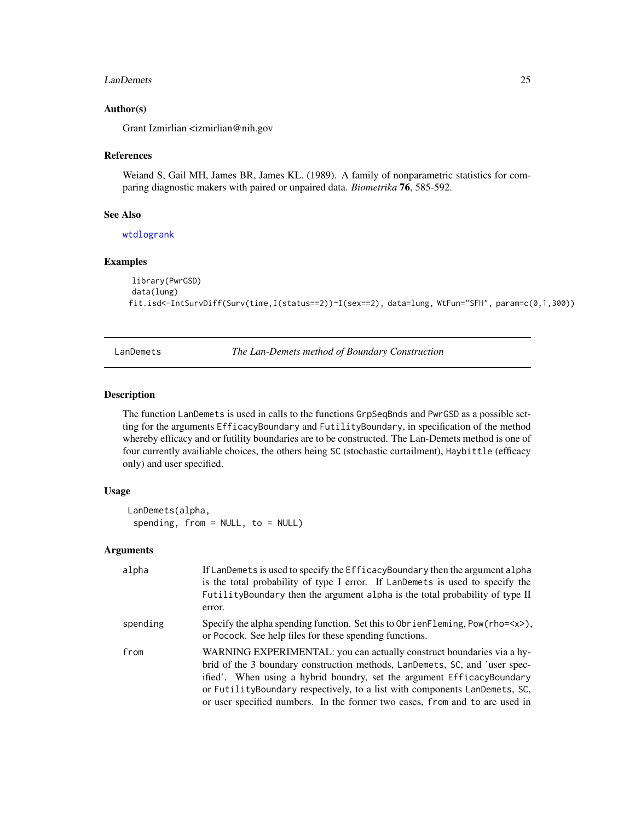### <span id="page-24-0"></span>LanDemets 25

### Author(s)

Grant Izmirlian <izmirlian@nih.gov

### References

Weiand S, Gail MH, James BR, James KL. (1989). A family of nonparametric statistics for comparing diagnostic makers with paired or unpaired data. *Biometrika* 76, 585-592.

### See Also

[wtdlogrank](#page-50-1)

# Examples

```
library(PwrGSD)
data(lung)
fit.isd<-IntSurvDiff(Surv(time,I(status==2))~I(sex==2), data=lung, WtFun="SFH", param=c(0,1,300))
```
<span id="page-24-1"></span>LanDemets *The Lan-Demets method of Boundary Construction*

# Description

The function LanDemets is used in calls to the functions GrpSeqBnds and PwrGSD as a possible setting for the arguments EfficacyBoundary and FutilityBoundary, in specification of the method whereby efficacy and or futility boundaries are to be constructed. The Lan-Demets method is one of four currently availiable choices, the others being SC (stochastic curtailment), Haybittle (efficacy only) and user specified.

# Usage

```
LanDemets(alpha,
 spending, from = NULL, to = NULL)
```
#### Arguments

| alpha    | If LanDemets is used to specify the EfficacyBoundary then the argument alpha<br>is the total probability of type I error. If LanDemets is used to specify the<br>Futility Boundary then the argument alpha is the total probability of type II<br>error.                                                                                                                                    |
|----------|---------------------------------------------------------------------------------------------------------------------------------------------------------------------------------------------------------------------------------------------------------------------------------------------------------------------------------------------------------------------------------------------|
| spending | Specify the alpha spending function. Set this to $ObrienFleming, Pow(rho=),$<br>or Pocock. See help files for these spending functions.                                                                                                                                                                                                                                                     |
| from     | WARNING EXPERIMENTAL: you can actually construct boundaries via a hy-<br>brid of the 3 boundary construction methods, LanDemets, SC, and 'user spec-<br>ified'. When using a hybrid boundry, set the argument EfficacyBoundary<br>or FutilityBoundary respectively, to a list with components LanDemets, SC,<br>or user specified numbers. In the former two cases, from and to are used in |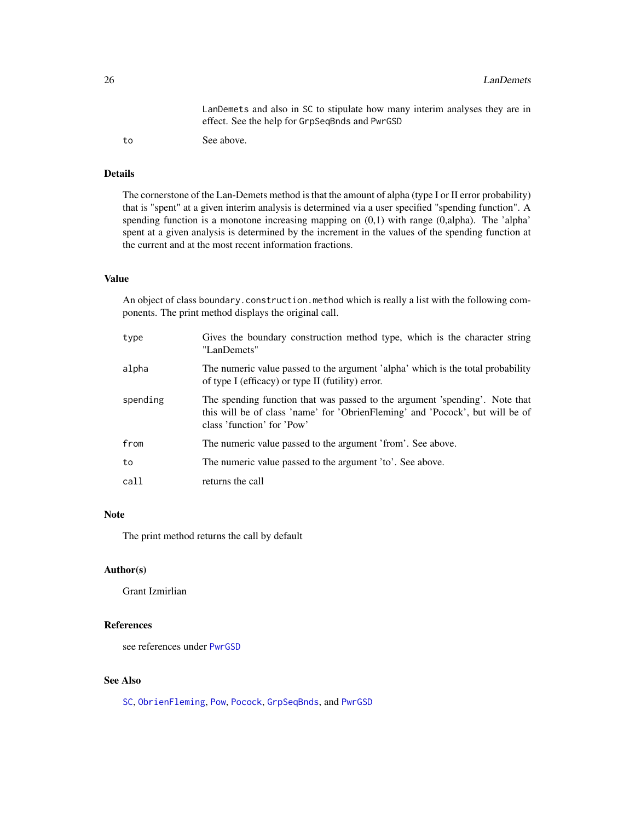LanDemets and also in SC to stipulate how many interim analyses they are in effect. See the help for GrpSeqBnds and PwrGSD

to See above.

### Details

The cornerstone of the Lan-Demets method is that the amount of alpha (type I or II error probability) that is "spent" at a given interim analysis is determined via a user specified "spending function". A spending function is a monotone increasing mapping on (0,1) with range (0,alpha). The 'alpha' spent at a given analysis is determined by the increment in the values of the spending function at the current and at the most recent information fractions.

### Value

An object of class boundary.construction.method which is really a list with the following components. The print method displays the original call.

| type     | Gives the boundary construction method type, which is the character string<br>"LanDemets"                                                                                                  |
|----------|--------------------------------------------------------------------------------------------------------------------------------------------------------------------------------------------|
| alpha    | The numeric value passed to the argument 'alpha' which is the total probability<br>of type I (efficacy) or type II (futility) error.                                                       |
| spending | The spending function that was passed to the argument 'spending'. Note that<br>this will be of class 'name' for 'ObrienFleming' and 'Pocock', but will be of<br>class 'function' for 'Pow' |
| from     | The numeric value passed to the argument 'from'. See above.                                                                                                                                |
| to       | The numeric value passed to the argument 'to'. See above.                                                                                                                                  |
| call     | returns the call                                                                                                                                                                           |

# Note

The print method returns the call by default

# Author(s)

Grant Izmirlian

### References

see references under [PwrGSD](#page-36-1)

# See Also

[SC](#page-45-1), [ObrienFleming](#page-30-1), [Pow](#page-33-1), [Pocock](#page-32-1), [GrpSeqBnds](#page-14-1), and [PwrGSD](#page-36-1)

<span id="page-25-0"></span>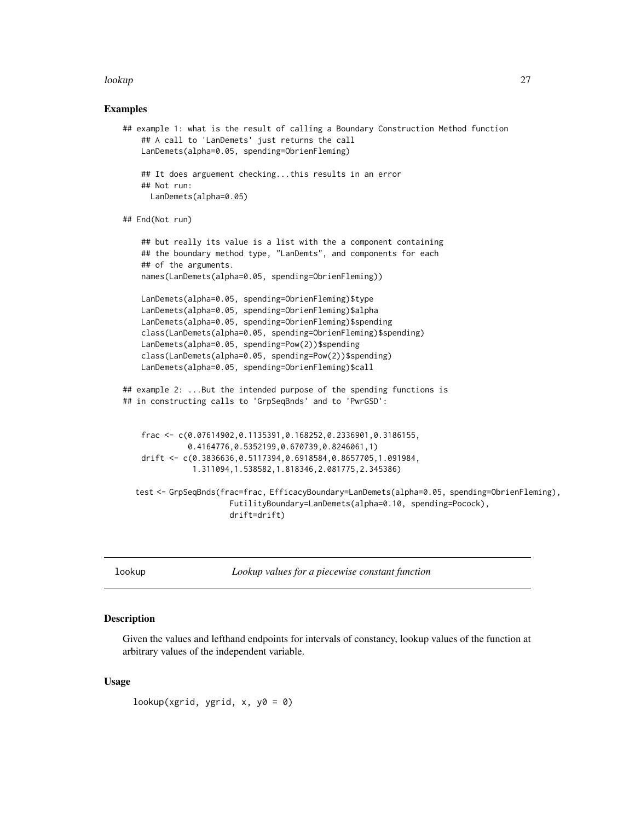### <span id="page-26-0"></span>lookup 27

### Examples

```
## example 1: what is the result of calling a Boundary Construction Method function
   ## A call to 'LanDemets' just returns the call
   LanDemets(alpha=0.05, spending=ObrienFleming)
   ## It does arguement checking...this results in an error
   ## Not run:
     LanDemets(alpha=0.05)
## End(Not run)
   ## but really its value is a list with the a component containing
   ## the boundary method type, "LanDemts", and components for each
   ## of the arguments.
   names(LanDemets(alpha=0.05, spending=ObrienFleming))
   LanDemets(alpha=0.05, spending=ObrienFleming)$type
   LanDemets(alpha=0.05, spending=ObrienFleming)$alpha
   LanDemets(alpha=0.05, spending=ObrienFleming)$spending
   class(LanDemets(alpha=0.05, spending=ObrienFleming)$spending)
   LanDemets(alpha=0.05, spending=Pow(2))$spending
   class(LanDemets(alpha=0.05, spending=Pow(2))$spending)
   LanDemets(alpha=0.05, spending=ObrienFleming)$call
## example 2: ...But the intended purpose of the spending functions is
## in constructing calls to 'GrpSeqBnds' and to 'PwrGSD':
   frac <- c(0.07614902,0.1135391,0.168252,0.2336901,0.3186155,
              0.4164776,0.5352199,0.670739,0.8246061,1)
   drift <- c(0.3836636,0.5117394,0.6918584,0.8657705,1.091984,
               1.311094,1.538582,1.818346,2.081775,2.345386)
  test <- GrpSeqBnds(frac=frac, EfficacyBoundary=LanDemets(alpha=0.05, spending=ObrienFleming),
                       FutilityBoundary=LanDemets(alpha=0.10, spending=Pocock),
                       drift=drift)
```
lookup *Lookup values for a piecewise constant function*

### **Description**

Given the values and lefthand endpoints for intervals of constancy, lookup values of the function at arbitrary values of the independent variable.

### Usage

lookup(xgrid, ygrid, x, y $0 = 0$ )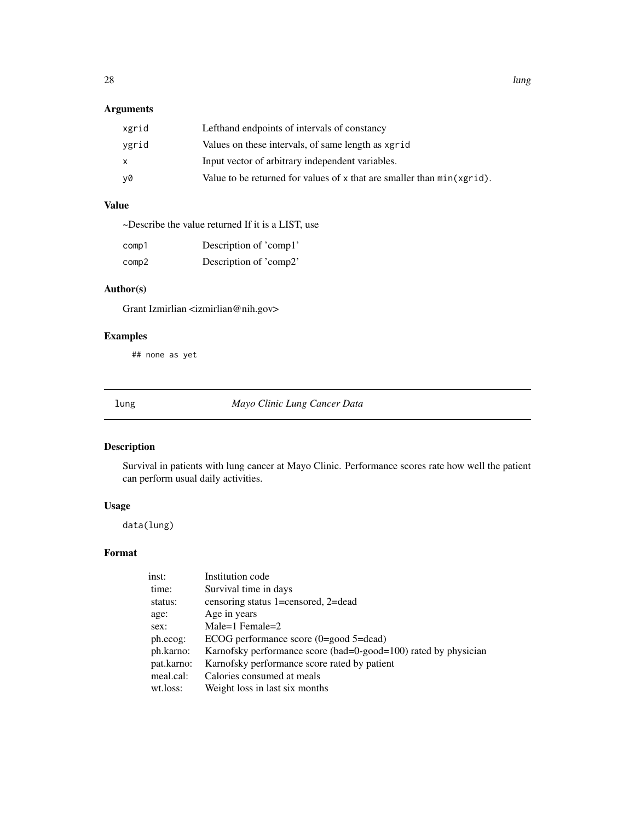# <span id="page-27-0"></span>Arguments

| xgrid | Lefthand endpoints of intervals of constancy                           |
|-------|------------------------------------------------------------------------|
| ygrid | Values on these intervals, of same length as xgrid                     |
| X     | Input vector of arbitrary independent variables.                       |
| y0    | Value to be returned for values of x that are smaller than min(xgrid). |

# Value

| ~Describe the value returned If it is a LIST, use |  |  |  |
|---------------------------------------------------|--|--|--|
|                                                   |  |  |  |

| comp1 | Description of 'comp1' |
|-------|------------------------|
| comp2 | Description of 'comp2' |

# Author(s)

Grant Izmirlian <izmirlian@nih.gov>

# Examples

## none as yet

lung *Mayo Clinic Lung Cancer Data*

# Description

Survival in patients with lung cancer at Mayo Clinic. Performance scores rate how well the patient can perform usual daily activities.

### Usage

data(lung)

# Format

| inst:      | Institution code                                                |
|------------|-----------------------------------------------------------------|
| time:      | Survival time in days                                           |
| status:    | censoring status 1=censored, 2=dead                             |
| age:       | Age in years                                                    |
| sex:       | Male=1 Female= $2$                                              |
| ph.ecog:   | ECOG performance score $(0 = good 5 = dead)$                    |
| ph.karno:  | Karnofsky performance score (bad=0-good=100) rated by physician |
| pat.karno: | Karnofsky performance score rated by patient                    |
| meal.cal:  | Calories consumed at meals                                      |
| wt.loss:   | Weight loss in last six months                                  |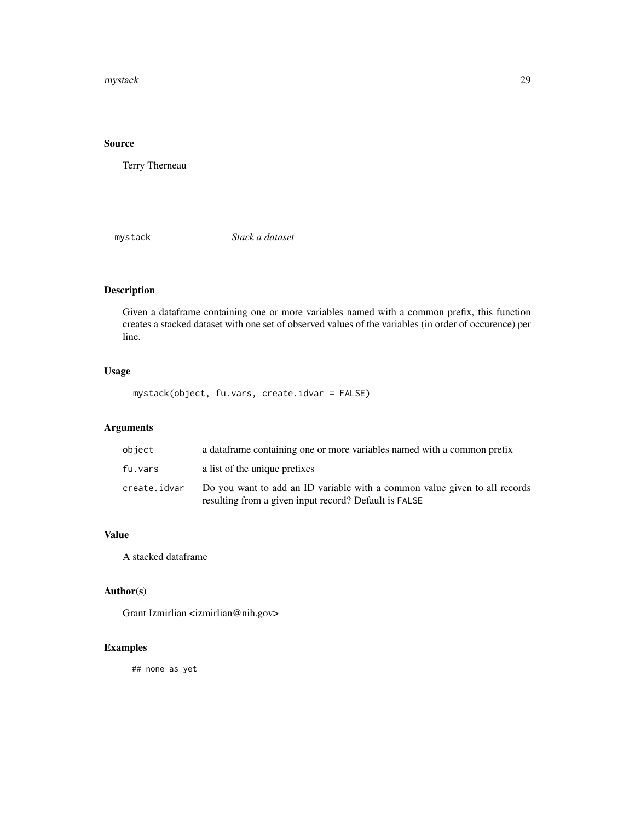### <span id="page-28-0"></span>mystack 29

# Source

Terry Therneau

mystack *Stack a dataset*

# Description

Given a dataframe containing one or more variables named with a common prefix, this function creates a stacked dataset with one set of observed values of the variables (in order of occurence) per line.

# Usage

mystack(object, fu.vars, create.idvar = FALSE)

# Arguments

| object       | a data frame containing one or more variables named with a common prefix                                                            |
|--------------|-------------------------------------------------------------------------------------------------------------------------------------|
| fu.vars      | a list of the unique prefixes                                                                                                       |
| create.idvar | Do you want to add an ID variable with a common value given to all records<br>resulting from a given input record? Default is FALSE |

### Value

A stacked dataframe

# Author(s)

Grant Izmirlian <izmirlian@nih.gov>

# Examples

## none as yet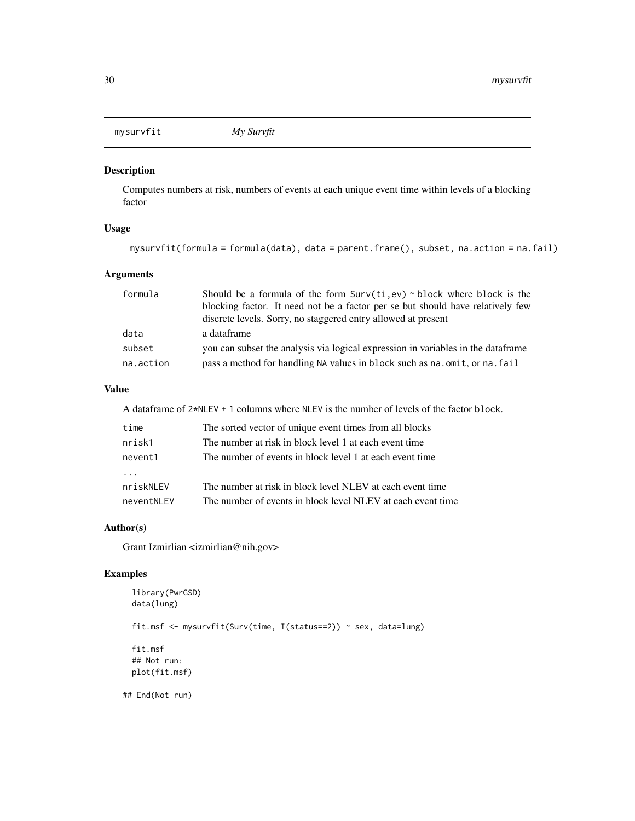<span id="page-29-0"></span>mysurvfit *My Survfit*

### Description

Computes numbers at risk, numbers of events at each unique event time within levels of a blocking factor

# Usage

```
mysurvfit(formula = formula(data), data = parent.frame(), subset, na.action = na.fail)
```
# Arguments

| formula   | Should be a formula of the form $Surv(ti, ev) \sim block$ where block is the      |
|-----------|-----------------------------------------------------------------------------------|
|           | blocking factor. It need not be a factor per se but should have relatively few    |
|           | discrete levels. Sorry, no staggered entry allowed at present                     |
| data      | a dataframe                                                                       |
| subset    | you can subset the analysis via logical expression in variables in the data frame |
| na.action | pass a method for handling NA values in block such as na. omit, or na. fail       |

### Value

A dataframe of 2\*NLEV + 1 columns where NLEV is the number of levels of the factor block.

| time       | The sorted vector of unique event times from all blocks     |
|------------|-------------------------------------------------------------|
| nrisk1     | The number at risk in block level 1 at each event time      |
| nevent1    | The number of events in block level 1 at each event time    |
|            |                                                             |
| nriskNLEV  | The number at risk in block level NLEV at each event time   |
| neventNLEV | The number of events in block level NLEV at each event time |

### Author(s)

Grant Izmirlian <izmirlian@nih.gov>

# Examples

```
library(PwrGSD)
 data(lung)
 fit.msf <- mysurvfit(Surv(time, I(status==2)) ~ sex, data=lung)
 fit.msf
 ## Not run:
 plot(fit.msf)
## End(Not run)
```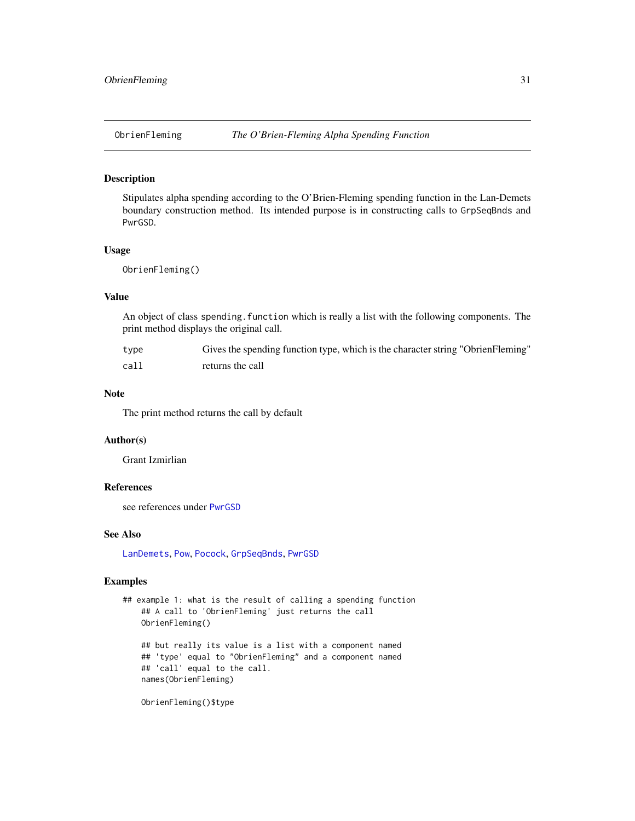<span id="page-30-1"></span><span id="page-30-0"></span>

### Description

Stipulates alpha spending according to the O'Brien-Fleming spending function in the Lan-Demets boundary construction method. Its intended purpose is in constructing calls to GrpSeqBnds and PwrGSD.

### Usage

ObrienFleming()

# Value

An object of class spending.function which is really a list with the following components. The print method displays the original call.

| type | Gives the spending function type, which is the character string "ObrienFleming" |
|------|---------------------------------------------------------------------------------|
| call | returns the call                                                                |

### Note

The print method returns the call by default

### Author(s)

Grant Izmirlian

### References

see references under [PwrGSD](#page-36-1)

### See Also

[LanDemets](#page-24-1), [Pow](#page-33-1), [Pocock](#page-32-1), [GrpSeqBnds](#page-14-1), [PwrGSD](#page-36-1)

# Examples

```
## example 1: what is the result of calling a spending function
   ## A call to 'ObrienFleming' just returns the call
   ObrienFleming()
    ## but really its value is a list with a component named
    ## 'type' equal to "ObrienFleming" and a component named
    ## 'call' equal to the call.
   names(ObrienFleming)
    ObrienFleming()$type
```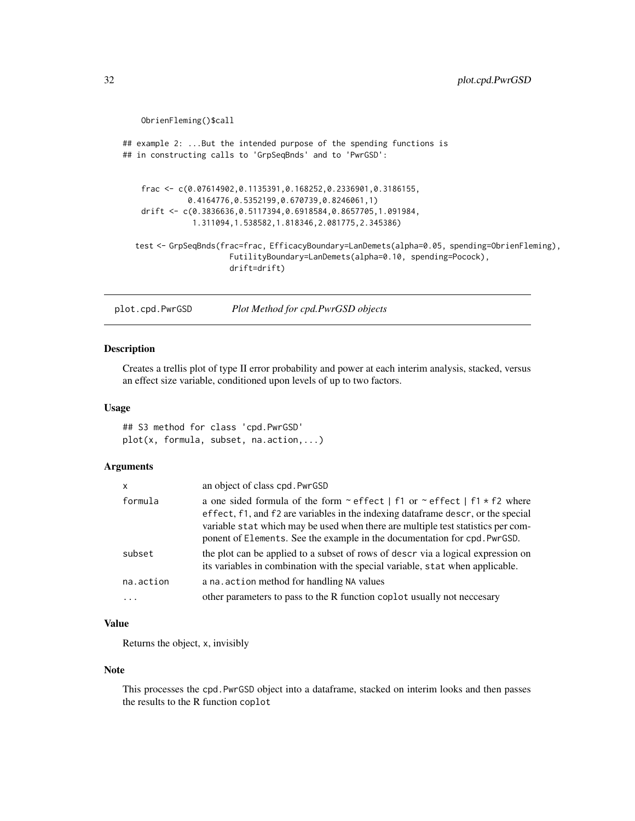```
ObrienFleming()$call
## example 2: ...But the intended purpose of the spending functions is
## in constructing calls to 'GrpSeqBnds' and to 'PwrGSD':
    frac <- c(0.07614902,0.1135391,0.168252,0.2336901,0.3186155,
              0.4164776,0.5352199,0.670739,0.8246061,1)
    drift <- c(0.3836636,0.5117394,0.6918584,0.8657705,1.091984,
               1.311094,1.538582,1.818346,2.081775,2.345386)
  test <- GrpSeqBnds(frac=frac, EfficacyBoundary=LanDemets(alpha=0.05, spending=ObrienFleming),
                       FutilityBoundary=LanDemets(alpha=0.10, spending=Pocock),
                       drift=drift)
```
<span id="page-31-1"></span>plot.cpd.PwrGSD *Plot Method for cpd.PwrGSD objects*

### Description

Creates a trellis plot of type II error probability and power at each interim analysis, stacked, versus an effect size variable, conditioned upon levels of up to two factors.

### Usage

## S3 method for class 'cpd.PwrGSD' plot(x, formula, subset, na.action,...)

# Arguments

| $\mathsf{x}$ | an object of class cpd. PwrGSD                                                                                                                                                                                                                                                                                                                 |
|--------------|------------------------------------------------------------------------------------------------------------------------------------------------------------------------------------------------------------------------------------------------------------------------------------------------------------------------------------------------|
| formula      | a one sided formula of the form $\sim$ effect   f1 or $\sim$ effect   f1 $\star$ f2 where<br>effect, f1, and f2 are variables in the indexing dataframe descr, or the special<br>variable stat which may be used when there are multiple test statistics per com-<br>ponent of Elements. See the example in the documentation for cpd. PwrGSD. |
| subset       | the plot can be applied to a subset of rows of descr via a logical expression on<br>its variables in combination with the special variable, stat when applicable.                                                                                                                                                                              |
| na.action    | a na. action method for handling NA values                                                                                                                                                                                                                                                                                                     |
| $\cdots$     | other parameters to pass to the R function coplot usually not neccesary                                                                                                                                                                                                                                                                        |

### Value

Returns the object, x, invisibly

#### Note

This processes the cpd.PwrGSD object into a dataframe, stacked on interim looks and then passes the results to the R function coplot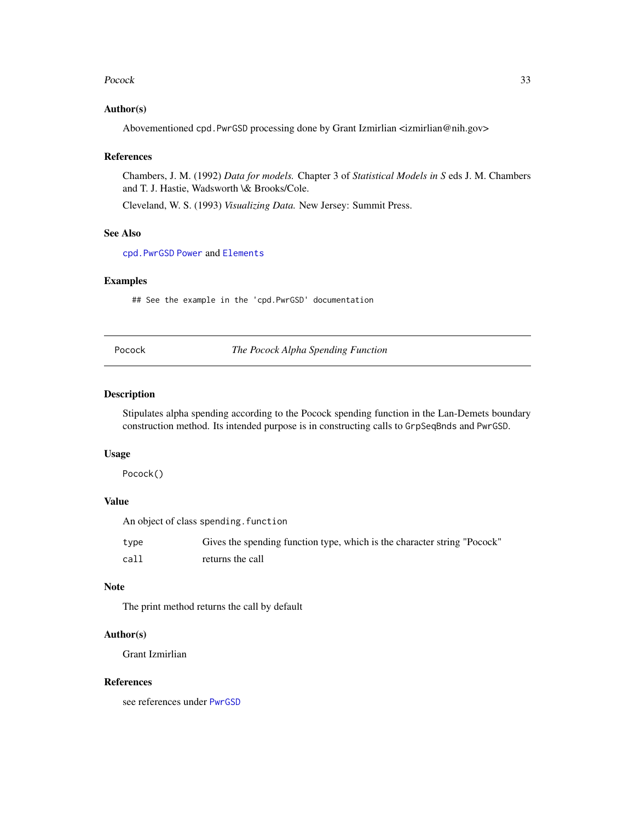### <span id="page-32-0"></span>Pocock 33

### Author(s)

Abovementioned cpd.PwrGSD processing done by Grant Izmirlian <izmirlian@nih.gov>

### References

Chambers, J. M. (1992) *Data for models.* Chapter 3 of *Statistical Models in S* eds J. M. Chambers and T. J. Hastie, Wadsworth \& Brooks/Cole.

Cleveland, W. S. (1993) *Visualizing Data.* New Jersey: Summit Press.

### See Also

[cpd.PwrGSD](#page-4-1) [Power](#page-35-1) and [Elements](#page-12-1)

### Examples

## See the example in the 'cpd.PwrGSD' documentation

<span id="page-32-1"></span>Pocock *The Pocock Alpha Spending Function*

### Description

Stipulates alpha spending according to the Pocock spending function in the Lan-Demets boundary construction method. Its intended purpose is in constructing calls to GrpSeqBnds and PwrGSD.

#### Usage

Pocock()

# Value

An object of class spending. function

| type | Gives the spending function type, which is the character string "Pocock" |
|------|--------------------------------------------------------------------------|
| call | returns the call                                                         |

### Note

The print method returns the call by default

### Author(s)

Grant Izmirlian

### References

see references under [PwrGSD](#page-36-1)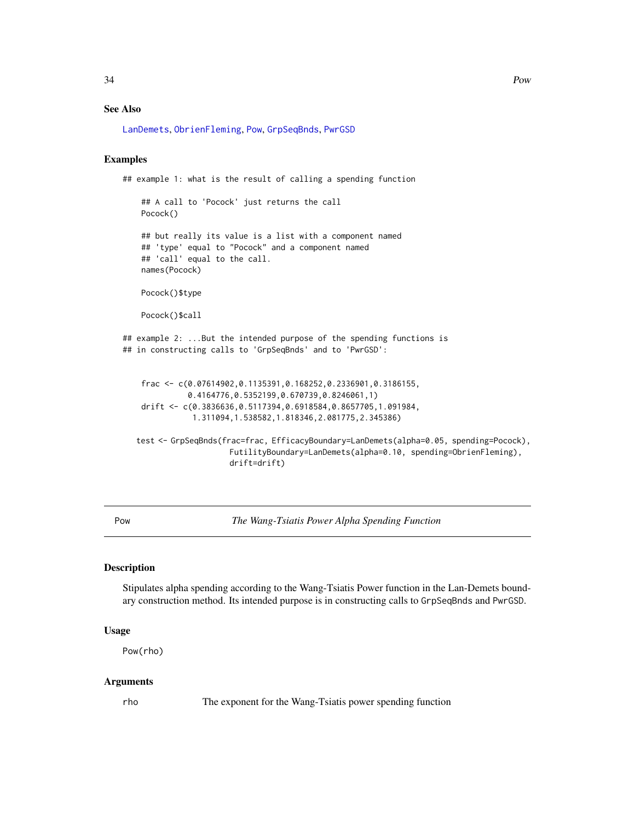### <span id="page-33-0"></span>See Also

[LanDemets](#page-24-1), [ObrienFleming](#page-30-1), [Pow](#page-33-1), [GrpSeqBnds](#page-14-1), [PwrGSD](#page-36-1)

# Examples

```
## example 1: what is the result of calling a spending function
    ## A call to 'Pocock' just returns the call
   Pocock()
    ## but really its value is a list with a component named
    ## 'type' equal to "Pocock" and a component named
   ## 'call' equal to the call.
   names(Pocock)
   Pocock()$type
   Pocock()$call
## example 2: ...But the intended purpose of the spending functions is
## in constructing calls to 'GrpSeqBnds' and to 'PwrGSD':
    frac <- c(0.07614902,0.1135391,0.168252,0.2336901,0.3186155,
              0.4164776,0.5352199,0.670739,0.8246061,1)
   drift <- c(0.3836636,0.5117394,0.6918584,0.8657705,1.091984,
               1.311094,1.538582,1.818346,2.081775,2.345386)
  test <- GrpSeqBnds(frac=frac, EfficacyBoundary=LanDemets(alpha=0.05, spending=Pocock),
                       FutilityBoundary=LanDemets(alpha=0.10, spending=ObrienFleming),
                       drift=drift)
```
<span id="page-33-1"></span>Pow *The Wang-Tsiatis Power Alpha Spending Function*

#### Description

Stipulates alpha spending according to the Wang-Tsiatis Power function in the Lan-Demets boundary construction method. Its intended purpose is in constructing calls to GrpSeqBnds and PwrGSD.

### Usage

Pow(rho)

### Arguments

rho The exponent for the Wang-Tsiatis power spending function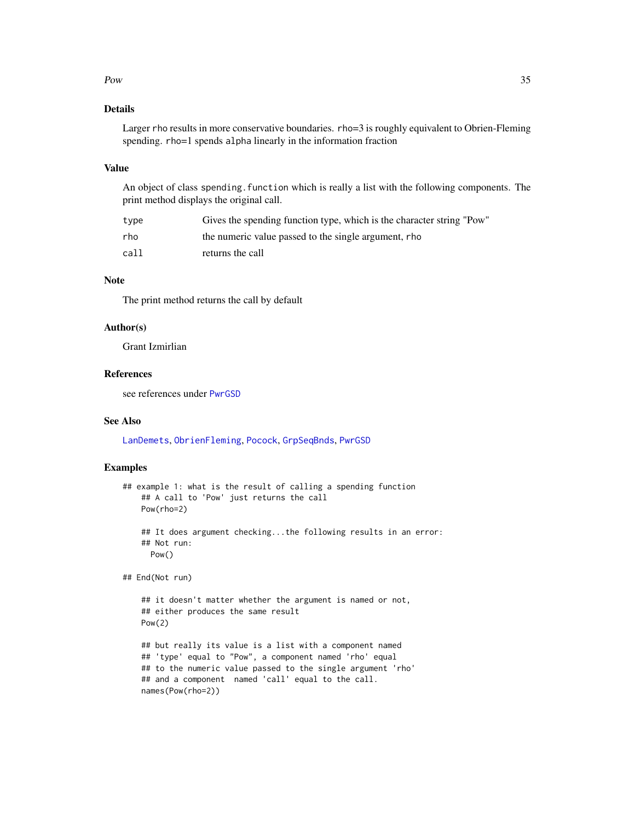### <span id="page-34-0"></span> $Pow$  35

# Details

Larger rho results in more conservative boundaries. rho=3 is roughly equivalent to Obrien-Fleming spending. rho=1 spends alpha linearly in the information fraction

### Value

An object of class spending. function which is really a list with the following components. The print method displays the original call.

| type | Gives the spending function type, which is the character string "Pow" |
|------|-----------------------------------------------------------------------|
| rho  | the numeric value passed to the single argument, rho                  |
| call | returns the call                                                      |

# Note

The print method returns the call by default

### Author(s)

Grant Izmirlian

### References

see references under [PwrGSD](#page-36-1)

# See Also

[LanDemets](#page-24-1), [ObrienFleming](#page-30-1), [Pocock](#page-32-1), [GrpSeqBnds](#page-14-1), [PwrGSD](#page-36-1)

### Examples

```
## example 1: what is the result of calling a spending function
    ## A call to 'Pow' just returns the call
   Pow(rho=2)
```

```
## It does argument checking...the following results in an error:
## Not run:
 Pow()
```
## End(Not run)

```
## it doesn't matter whether the argument is named or not,
## either produces the same result
Pow(2)
```
## but really its value is a list with a component named ## 'type' equal to "Pow", a component named 'rho' equal ## to the numeric value passed to the single argument 'rho' ## and a component named 'call' equal to the call. names(Pow(rho=2))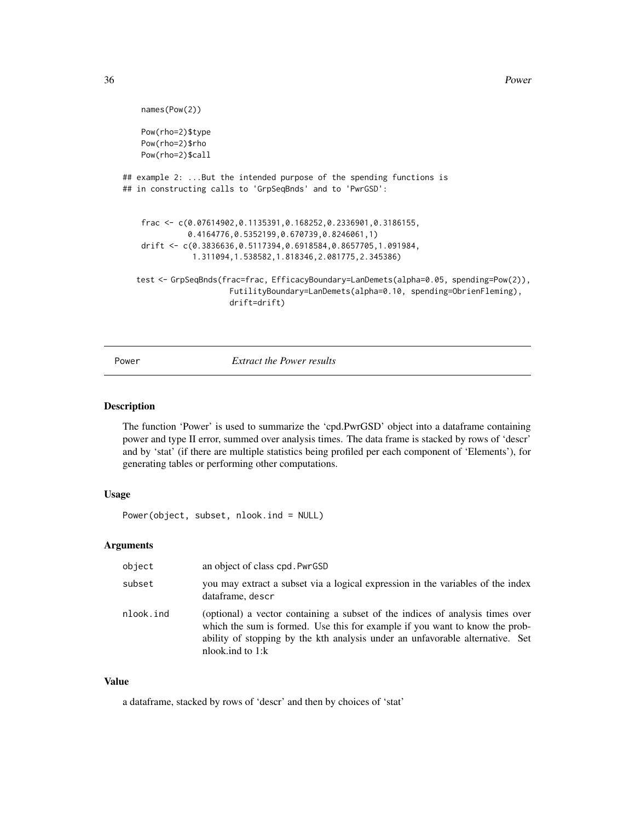<span id="page-35-0"></span>36 Power

```
names(Pow(2))
    Pow(rho=2)$type
   Pow(rho=2)$rho
   Pow(rho=2)$call
## example 2: ...But the intended purpose of the spending functions is
## in constructing calls to 'GrpSeqBnds' and to 'PwrGSD':
    frac <- c(0.07614902,0.1135391,0.168252,0.2336901,0.3186155,
              0.4164776,0.5352199,0.670739,0.8246061,1)
    drift <- c(0.3836636,0.5117394,0.6918584,0.8657705,1.091984,
               1.311094,1.538582,1.818346,2.081775,2.345386)
  test <- GrpSeqBnds(frac=frac, EfficacyBoundary=LanDemets(alpha=0.05, spending=Pow(2)),
                       FutilityBoundary=LanDemets(alpha=0.10, spending=ObrienFleming),
                       drift=drift)
```
<span id="page-35-1"></span>Power *Extract the Power results*

### Description

The function 'Power' is used to summarize the 'cpd.PwrGSD' object into a dataframe containing power and type II error, summed over analysis times. The data frame is stacked by rows of 'descr' and by 'stat' (if there are multiple statistics being profiled per each component of 'Elements'), for generating tables or performing other computations.

# Usage

Power(object, subset, nlook.ind = NULL)

### Arguments

| object    | an object of class cpd. PwrGSD                                                                                                                                                                                                                                      |
|-----------|---------------------------------------------------------------------------------------------------------------------------------------------------------------------------------------------------------------------------------------------------------------------|
| subset    | you may extract a subset via a logical expression in the variables of the index<br>dataframe, descr                                                                                                                                                                 |
| nlook.ind | (optional) a vector containing a subset of the indices of analysis times over<br>which the sum is formed. Use this for example if you want to know the prob-<br>ability of stopping by the kth analysis under an unfavorable alternative. Set<br>nlook.ind to $1:k$ |

### Value

a dataframe, stacked by rows of 'descr' and then by choices of 'stat'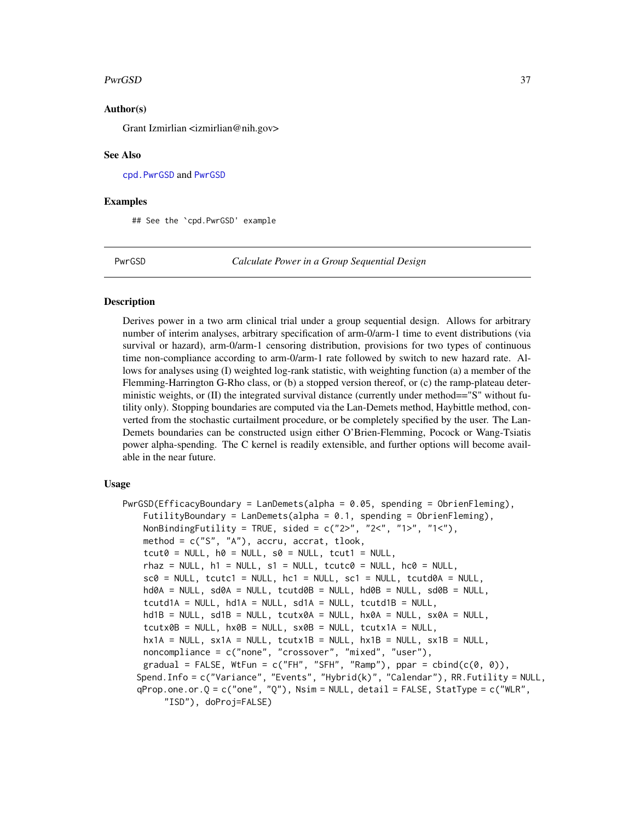### <span id="page-36-0"></span>PwrGSD 37

### Author(s)

Grant Izmirlian <izmirlian@nih.gov>

#### See Also

[cpd.PwrGSD](#page-4-1) and [PwrGSD](#page-36-1)

#### Examples

## See the `cpd.PwrGSD' example

<span id="page-36-1"></span>PwrGSD *Calculate Power in a Group Sequential Design*

### **Description**

Derives power in a two arm clinical trial under a group sequential design. Allows for arbitrary number of interim analyses, arbitrary specification of arm-0/arm-1 time to event distributions (via survival or hazard), arm-0/arm-1 censoring distribution, provisions for two types of continuous time non-compliance according to arm-0/arm-1 rate followed by switch to new hazard rate. Allows for analyses using (I) weighted log-rank statistic, with weighting function (a) a member of the Flemming-Harrington G-Rho class, or (b) a stopped version thereof, or (c) the ramp-plateau deterministic weights, or  $(II)$  the integrated survival distance (currently under method==" $S''$  without futility only). Stopping boundaries are computed via the Lan-Demets method, Haybittle method, converted from the stochastic curtailment procedure, or be completely specified by the user. The Lan-Demets boundaries can be constructed usign either O'Brien-Flemming, Pocock or Wang-Tsiatis power alpha-spending. The C kernel is readily extensible, and further options will become available in the near future.

# Usage

```
PwrGSD(EfficacyBoundary = LanDemets(alpha = 0.05, spending = ObrienFleming),
    FutilityBoundary = \text{LanDemets(alpha)} = 0.1, spending = ObrienFleming),
    NonBindingFutility = TRUE, sided = c("2&gt", "2&lt", "1&gt", "1&lt",method = c("S", "A"), accru, accrat, tlook,
    tcut0 = NULL, h0 = NULL, s0 = NULL, tcut1 = NULL,rhaz = NULL, h1 = NULL, s1 = NULL, tcutc\theta = NULL, hc\theta = NULLsc\theta = NULL, tcutc1 = NULL, hc1 = NULL, sc1 = NULL, tcutd0A = NULL,
    hd\emptysetA = NULL, sd\emptysetA = NULL, tcutd\emptysetB = NULL, hd\emptysetB = NULL, sd\emptysetB = NULL,
    tcutd1A = NULL, hd1A = NULL, sd1A = NULL, tcutd1B = NULL,
    hd1B = NULL, sd1B = NULL, tcutx0A = NULL, hx0A = NULL, sx0A = NULLtcutx0B = NULL, hx0B = NULL, sx0B = NULL, tcutx1A = NULL,hx1A = NULL, sx1A = NULL, tcutx1B = NULL, hx1B = NULL, sx1B = NULLnoncompliance = c("none", "crossover", "mixed", "user"),
    gradual = FALSE, WtFun = c("FH", "SFH", "Ramp"), ppar = cbind(c(0, 0)),Spend.Info = c("Variance", "Events", "Hybrid(k)", "Calendar"), RR.Futility = NULL,
  qProp.one.or.Q = c("one", "Q"), Nsim = NULL, detail = FALSE, StatType = c("WLR",
        "ISD"), doProj=FALSE)
```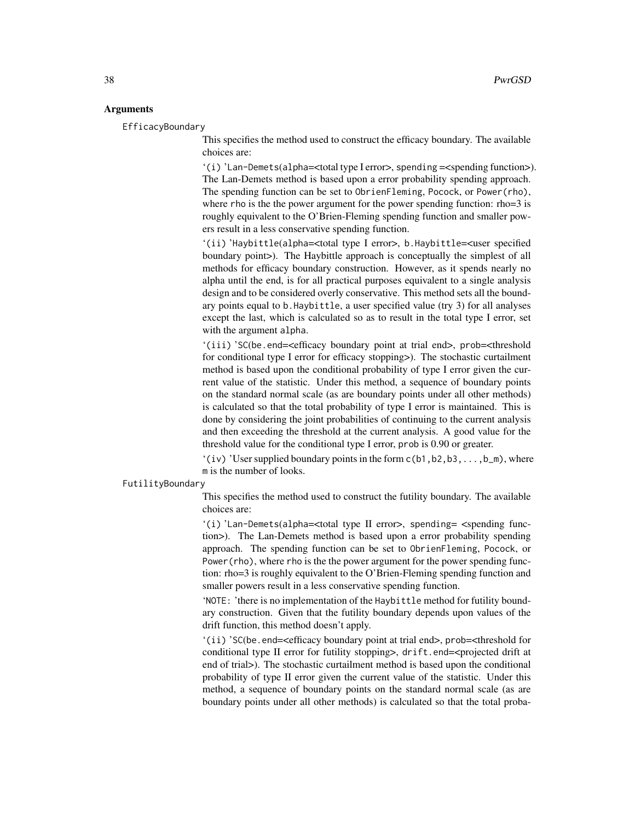### Arguments

EfficacyBoundary

This specifies the method used to construct the efficacy boundary. The available choices are:

'(i) 'Lan-Demets(alpha=<total type I error>, spending =<spending function>). The Lan-Demets method is based upon a error probability spending approach. The spending function can be set to ObrienFleming, Pocock, or Power(rho), where rho is the the power argument for the power spending function: rho=3 is roughly equivalent to the O'Brien-Fleming spending function and smaller powers result in a less conservative spending function.

'(ii) 'Haybittle(alpha=<total type I error>, b.Haybittle=<user specified boundary point>). The Haybittle approach is conceptually the simplest of all methods for efficacy boundary construction. However, as it spends nearly no alpha until the end, is for all practical purposes equivalent to a single analysis design and to be considered overly conservative. This method sets all the boundary points equal to b.Haybittle, a user specified value (try 3) for all analyses except the last, which is calculated so as to result in the total type I error, set with the argument alpha.

'(iii) 'SC(be.end=<efficacy boundary point at trial end>, prob=<threshold for conditional type I error for efficacy stopping>). The stochastic curtailment method is based upon the conditional probability of type I error given the current value of the statistic. Under this method, a sequence of boundary points on the standard normal scale (as are boundary points under all other methods) is calculated so that the total probability of type I error is maintained. This is done by considering the joint probabilities of continuing to the current analysis and then exceeding the threshold at the current analysis. A good value for the threshold value for the conditional type I error, prob is 0.90 or greater.

'(iv) 'User supplied boundary points in the form  $c(b1,b2,b3,...,b_m)$ , where m is the number of looks.

#### FutilityBoundary

This specifies the method used to construct the futility boundary. The available choices are:

'(i) 'Lan-Demets(alpha=<total type II error>, spending= <spending function>). The Lan-Demets method is based upon a error probability spending approach. The spending function can be set to ObrienFleming, Pocock, or Power(rho), where rho is the the power argument for the power spending function: rho=3 is roughly equivalent to the O'Brien-Fleming spending function and smaller powers result in a less conservative spending function.

'NOTE: 'there is no implementation of the Haybittle method for futility boundary construction. Given that the futility boundary depends upon values of the drift function, this method doesn't apply.

'(ii) 'SC(be.end=<efficacy boundary point at trial end>, prob=<threshold for conditional type II error for futility stopping>, drift.end=<projected drift at end of trial>). The stochastic curtailment method is based upon the conditional probability of type II error given the current value of the statistic. Under this method, a sequence of boundary points on the standard normal scale (as are boundary points under all other methods) is calculated so that the total proba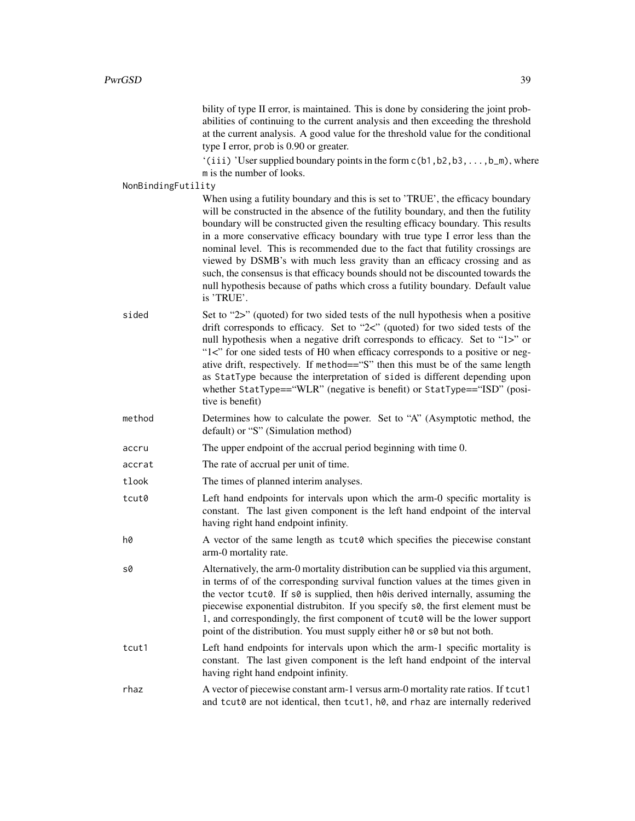bility of type II error, is maintained. This is done by considering the joint probabilities of continuing to the current analysis and then exceeding the threshold at the current analysis. A good value for the threshold value for the conditional type I error, prob is 0.90 or greater.

 $'(iii)$  'User supplied boundary points in the form  $c(b1,b2,b3,\ldots,b_m)$ , where m is the number of looks.

#### NonBindingFutility

When using a futility boundary and this is set to 'TRUE', the efficacy boundary will be constructed in the absence of the futility boundary, and then the futility boundary will be constructed given the resulting efficacy boundary. This results in a more conservative efficacy boundary with true type I error less than the nominal level. This is recommended due to the fact that futility crossings are viewed by DSMB's with much less gravity than an efficacy crossing and as such, the consensus is that efficacy bounds should not be discounted towards the null hypothesis because of paths which cross a futility boundary. Default value is 'TRUE'.

- sided Set to "2>" (quoted) for two sided tests of the null hypothesis when a positive drift corresponds to efficacy. Set to "2<" (quoted) for two sided tests of the null hypothesis when a negative drift corresponds to efficacy. Set to "1>" or "1<" for one sided tests of H0 when efficacy corresponds to a positive or negative drift, respectively. If method=="S" then this must be of the same length as StatType because the interpretation of sided is different depending upon whether StatType=="WLR" (negative is benefit) or StatType=="ISD" (positive is benefit)
- method Determines how to calculate the power. Set to "A" (Asymptotic method, the default) or "S" (Simulation method)
- accru The upper endpoint of the accrual period beginning with time 0.
- accrat The rate of accrual per unit of time.
- tlook The times of planned interim analyses.
- tcut0 Left hand endpoints for intervals upon which the arm-0 specific mortality is constant. The last given component is the left hand endpoint of the interval having right hand endpoint infinity.
- h0 A vector of the same length as tcut0 which specifies the piecewise constant arm-0 mortality rate.
- s0 Alternatively, the arm-0 mortality distribution can be supplied via this argument, in terms of of the corresponding survival function values at the times given in the vector tcut0. If s0 is supplied, then h0is derived internally, assuming the piecewise exponential distrubiton. If you specify s0, the first element must be 1, and correspondingly, the first component of tcut0 will be the lower support point of the distribution. You must supply either h0 or s0 but not both.
- tcut1 Left hand endpoints for intervals upon which the arm-1 specific mortality is constant. The last given component is the left hand endpoint of the interval having right hand endpoint infinity.
- rhaz A vector of piecewise constant arm-1 versus arm-0 mortality rate ratios. If tcut1 and tcut0 are not identical, then tcut1, h0, and rhaz are internally rederived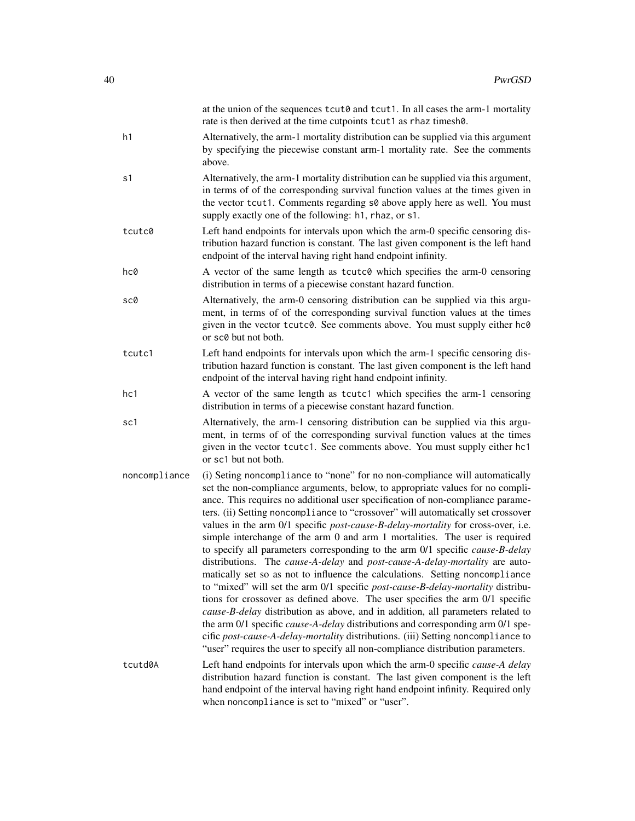|               | at the union of the sequences $text{tut0}$ and $text{tut1}$ . In all cases the arm-1 mortality<br>rate is then derived at the time cutpoints tcut1 as rhaz timesh0.                                                                                                                                                                                                                                                                                                                                                                                                                                                                                                                                                                                                                                                                                                                                                                                                                                                                                                                                                                                                                                                                                                           |
|---------------|-------------------------------------------------------------------------------------------------------------------------------------------------------------------------------------------------------------------------------------------------------------------------------------------------------------------------------------------------------------------------------------------------------------------------------------------------------------------------------------------------------------------------------------------------------------------------------------------------------------------------------------------------------------------------------------------------------------------------------------------------------------------------------------------------------------------------------------------------------------------------------------------------------------------------------------------------------------------------------------------------------------------------------------------------------------------------------------------------------------------------------------------------------------------------------------------------------------------------------------------------------------------------------|
| h1            | Alternatively, the arm-1 mortality distribution can be supplied via this argument<br>by specifying the piecewise constant arm-1 mortality rate. See the comments<br>above.                                                                                                                                                                                                                                                                                                                                                                                                                                                                                                                                                                                                                                                                                                                                                                                                                                                                                                                                                                                                                                                                                                    |
| s1            | Alternatively, the arm-1 mortality distribution can be supplied via this argument,<br>in terms of of the corresponding survival function values at the times given in<br>the vector tcut1. Comments regarding s0 above apply here as well. You must<br>supply exactly one of the following: h1, rhaz, or s1.                                                                                                                                                                                                                                                                                                                                                                                                                                                                                                                                                                                                                                                                                                                                                                                                                                                                                                                                                                  |
| tcutc0        | Left hand endpoints for intervals upon which the arm-0 specific censoring dis-<br>tribution hazard function is constant. The last given component is the left hand<br>endpoint of the interval having right hand endpoint infinity.                                                                                                                                                                                                                                                                                                                                                                                                                                                                                                                                                                                                                                                                                                                                                                                                                                                                                                                                                                                                                                           |
| hc0           | A vector of the same length as tcutc0 which specifies the arm-0 censoring<br>distribution in terms of a piecewise constant hazard function.                                                                                                                                                                                                                                                                                                                                                                                                                                                                                                                                                                                                                                                                                                                                                                                                                                                                                                                                                                                                                                                                                                                                   |
| sc0           | Alternatively, the arm-0 censoring distribution can be supplied via this argu-<br>ment, in terms of of the corresponding survival function values at the times<br>given in the vector tcutc0. See comments above. You must supply either hc0<br>or sc0 but not both.                                                                                                                                                                                                                                                                                                                                                                                                                                                                                                                                                                                                                                                                                                                                                                                                                                                                                                                                                                                                          |
| tcutc1        | Left hand endpoints for intervals upon which the arm-1 specific censoring dis-<br>tribution hazard function is constant. The last given component is the left hand<br>endpoint of the interval having right hand endpoint infinity.                                                                                                                                                                                                                                                                                                                                                                                                                                                                                                                                                                                                                                                                                                                                                                                                                                                                                                                                                                                                                                           |
| hc1           | A vector of the same length as tcutc1 which specifies the arm-1 censoring<br>distribution in terms of a piecewise constant hazard function.                                                                                                                                                                                                                                                                                                                                                                                                                                                                                                                                                                                                                                                                                                                                                                                                                                                                                                                                                                                                                                                                                                                                   |
| sc1           | Alternatively, the arm-1 censoring distribution can be supplied via this argu-<br>ment, in terms of of the corresponding survival function values at the times<br>given in the vector tcutc1. See comments above. You must supply either hc1<br>or sc1 but not both.                                                                                                                                                                                                                                                                                                                                                                                                                                                                                                                                                                                                                                                                                                                                                                                                                                                                                                                                                                                                          |
| noncompliance | (i) Seting noncompliance to "none" for no non-compliance will automatically<br>set the non-compliance arguments, below, to appropriate values for no compli-<br>ance. This requires no additional user specification of non-compliance parame-<br>ters. (ii) Setting noncompliance to "crossover" will automatically set crossover<br>values in the arm 0/1 specific <i>post-cause-B-delay-mortality</i> for cross-over, i.e.<br>simple interchange of the arm 0 and arm 1 mortalities. The user is required<br>to specify all parameters corresponding to the arm 0/1 specific cause-B-delay<br>distributions. The cause-A-delay and post-cause-A-delay-mortality are auto-<br>matically set so as not to influence the calculations. Setting noncompliance<br>to "mixed" will set the arm 0/1 specific post-cause-B-delay-mortality distribu-<br>tions for crossover as defined above. The user specifies the arm 0/1 specific<br>cause-B-delay distribution as above, and in addition, all parameters related to<br>the arm 0/1 specific cause-A-delay distributions and corresponding arm 0/1 spe-<br>cific post-cause-A-delay-mortality distributions. (iii) Setting noncompliance to<br>"user" requires the user to specify all non-compliance distribution parameters. |
| tcutd0A       | Left hand endpoints for intervals upon which the arm-0 specific cause-A delay<br>distribution hazard function is constant. The last given component is the left<br>hand endpoint of the interval having right hand endpoint infinity. Required only<br>when noncompliance is set to "mixed" or "user".                                                                                                                                                                                                                                                                                                                                                                                                                                                                                                                                                                                                                                                                                                                                                                                                                                                                                                                                                                        |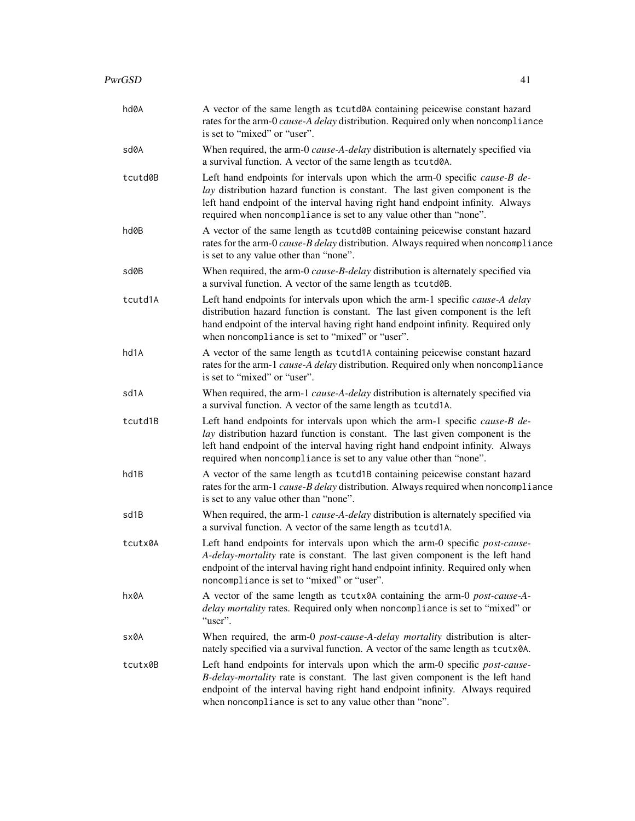| hd0A    | A vector of the same length as tcutd0A containing peicewise constant hazard<br>rates for the arm-0 cause-A delay distribution. Required only when noncompliance<br>is set to "mixed" or "user".                                                                                                                      |
|---------|----------------------------------------------------------------------------------------------------------------------------------------------------------------------------------------------------------------------------------------------------------------------------------------------------------------------|
| sd0A    | When required, the arm-0 cause-A-delay distribution is alternately specified via<br>a survival function. A vector of the same length as tcutd0A.                                                                                                                                                                     |
| tcutd0B | Left hand endpoints for intervals upon which the arm-0 specific cause-B de-<br>lay distribution hazard function is constant. The last given component is the<br>left hand endpoint of the interval having right hand endpoint infinity. Always<br>required when noncompliance is set to any value other than "none". |
| hd0B    | A vector of the same length as tcutd0B containing peicewise constant hazard<br>rates for the arm-0 cause-B delay distribution. Always required when noncompliance<br>is set to any value other than "none".                                                                                                          |
| sd0B    | When required, the arm-0 cause-B-delay distribution is alternately specified via<br>a survival function. A vector of the same length as tcutd0B.                                                                                                                                                                     |
| tcutd1A | Left hand endpoints for intervals upon which the arm-1 specific cause-A delay<br>distribution hazard function is constant. The last given component is the left<br>hand endpoint of the interval having right hand endpoint infinity. Required only<br>when noncompliance is set to "mixed" or "user".               |
| hd1A    | A vector of the same length as tcutd1A containing peicewise constant hazard<br>rates for the arm-1 cause-A delay distribution. Required only when noncompliance<br>is set to "mixed" or "user".                                                                                                                      |
| sd1A    | When required, the arm-1 cause-A-delay distribution is alternately specified via<br>a survival function. A vector of the same length as tcutd1A.                                                                                                                                                                     |
| tcutd1B | Left hand endpoints for intervals upon which the arm-1 specific cause-B de-<br>lay distribution hazard function is constant. The last given component is the<br>left hand endpoint of the interval having right hand endpoint infinity. Always<br>required when noncompliance is set to any value other than "none". |
| hd1B    | A vector of the same length as tcutd1B containing peicewise constant hazard<br>rates for the arm-1 cause-B delay distribution. Always required when noncompliance<br>is set to any value other than "none".                                                                                                          |
| sd1B    | When required, the arm-1 cause-A-delay distribution is alternately specified via<br>a survival function. A vector of the same length as tcutd1A.                                                                                                                                                                     |
| tcutx0A | Left hand endpoints for intervals upon which the arm-0 specific post-cause-<br>A-delay-mortality rate is constant. The last given component is the left hand<br>endpoint of the interval having right hand endpoint infinity. Required only when<br>noncompliance is set to "mixed" or "user".                       |
| hx0A    | A vector of the same length as tcutx0A containing the arm-0 post-cause-A-<br>delay mortality rates. Required only when noncompliance is set to "mixed" or<br>"user".                                                                                                                                                 |
| sx0A    | When required, the arm-0 post-cause-A-delay mortality distribution is alter-<br>nately specified via a survival function. A vector of the same length as tcutx0A.                                                                                                                                                    |
| tcutx0B | Left hand endpoints for intervals upon which the arm-0 specific post-cause-<br>B-delay-mortality rate is constant. The last given component is the left hand<br>endpoint of the interval having right hand endpoint infinity. Always required<br>when noncompliance is set to any value other than "none".           |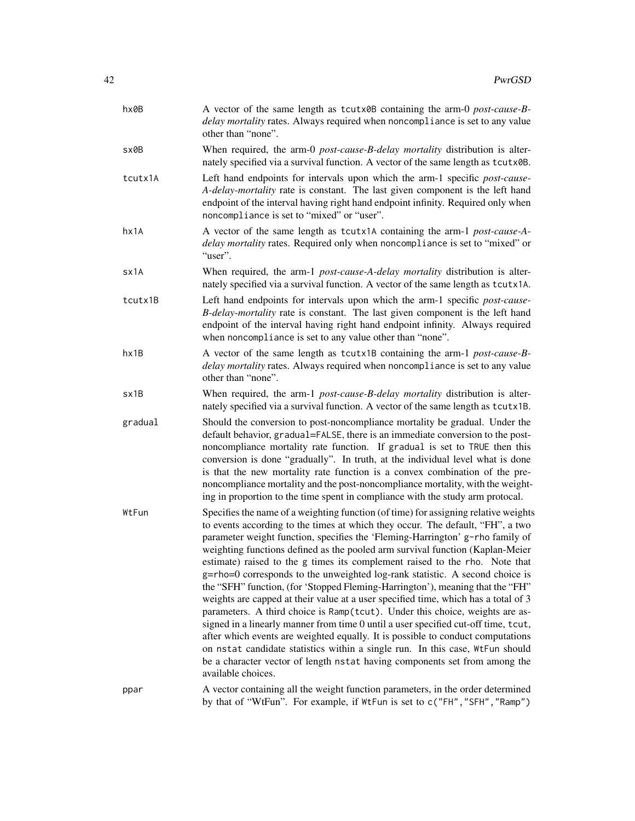| hx0B    | A vector of the same length as tcutx0B containing the arm-0 post-cause-B-<br>delay mortality rates. Always required when noncompliance is set to any value<br>other than "none".                                                                                                                                                                                                                                                                                                                                                                                                                                                                                                                                                                                                                                                                                                                                                                                                                                                                                                                                            |
|---------|-----------------------------------------------------------------------------------------------------------------------------------------------------------------------------------------------------------------------------------------------------------------------------------------------------------------------------------------------------------------------------------------------------------------------------------------------------------------------------------------------------------------------------------------------------------------------------------------------------------------------------------------------------------------------------------------------------------------------------------------------------------------------------------------------------------------------------------------------------------------------------------------------------------------------------------------------------------------------------------------------------------------------------------------------------------------------------------------------------------------------------|
| sx0B    | When required, the arm-0 <i>post-cause-B-delay mortality</i> distribution is alter-<br>nately specified via a survival function. A vector of the same length as tcutx0B.                                                                                                                                                                                                                                                                                                                                                                                                                                                                                                                                                                                                                                                                                                                                                                                                                                                                                                                                                    |
| tcutx1A | Left hand endpoints for intervals upon which the arm-1 specific post-cause-<br>A-delay-mortality rate is constant. The last given component is the left hand<br>endpoint of the interval having right hand endpoint infinity. Required only when<br>noncompliance is set to "mixed" or "user".                                                                                                                                                                                                                                                                                                                                                                                                                                                                                                                                                                                                                                                                                                                                                                                                                              |
| hx1A    | A vector of the same length as tcutx1A containing the arm-1 post-cause-A-<br>delay mortality rates. Required only when noncompliance is set to "mixed" or<br>"user".                                                                                                                                                                                                                                                                                                                                                                                                                                                                                                                                                                                                                                                                                                                                                                                                                                                                                                                                                        |
| sx1A    | When required, the arm-1 post-cause-A-delay mortality distribution is alter-<br>nately specified via a survival function. A vector of the same length as tcutx1A.                                                                                                                                                                                                                                                                                                                                                                                                                                                                                                                                                                                                                                                                                                                                                                                                                                                                                                                                                           |
| tcutx1B | Left hand endpoints for intervals upon which the arm-1 specific post-cause-<br>B-delay-mortality rate is constant. The last given component is the left hand<br>endpoint of the interval having right hand endpoint infinity. Always required<br>when noncompliance is set to any value other than "none".                                                                                                                                                                                                                                                                                                                                                                                                                                                                                                                                                                                                                                                                                                                                                                                                                  |
| hx1B    | A vector of the same length as tcutx1B containing the arm-1 post-cause-B-<br>delay mortality rates. Always required when noncompliance is set to any value<br>other than "none".                                                                                                                                                                                                                                                                                                                                                                                                                                                                                                                                                                                                                                                                                                                                                                                                                                                                                                                                            |
| sx1B    | When required, the arm-1 <i>post-cause-B-delay mortality</i> distribution is alter-<br>nately specified via a survival function. A vector of the same length as tcutx1B.                                                                                                                                                                                                                                                                                                                                                                                                                                                                                                                                                                                                                                                                                                                                                                                                                                                                                                                                                    |
| gradual | Should the conversion to post-noncompliance mortality be gradual. Under the<br>default behavior, gradual=FALSE, there is an immediate conversion to the post-<br>noncompliance mortality rate function. If gradual is set to TRUE then this<br>conversion is done "gradually". In truth, at the individual level what is done<br>is that the new mortality rate function is a convex combination of the pre-<br>noncompliance mortality and the post-noncompliance mortality, with the weight-<br>ing in proportion to the time spent in compliance with the study arm protocal.                                                                                                                                                                                                                                                                                                                                                                                                                                                                                                                                            |
| WtFun   | Specifies the name of a weighting function (of time) for assigning relative weights<br>to events according to the times at which they occur. The default, "FH", a two<br>parameter weight function, specifies the 'Fleming-Harrington' g-rho family of<br>weighting functions defined as the pooled arm survival function (Kaplan-Meier<br>estimate) raised to the g times its complement raised to the rho. Note that<br>g=rho=0 corresponds to the unweighted log-rank statistic. A second choice is<br>the "SFH" function, (for 'Stopped Fleming-Harrington'), meaning that the "FH"<br>weights are capped at their value at a user specified time, which has a total of 3<br>parameters. A third choice is Ramp(tcut). Under this choice, weights are as-<br>signed in a linearly manner from time 0 until a user specified cut-off time, tcut,<br>after which events are weighted equally. It is possible to conduct computations<br>on nstat candidate statistics within a single run. In this case, WtFun should<br>be a character vector of length nstat having components set from among the<br>available choices. |
| ppar    | A vector containing all the weight function parameters, in the order determined<br>by that of "WtFun". For example, if WtFun is set to c("FH", "SFH", "Ramp")                                                                                                                                                                                                                                                                                                                                                                                                                                                                                                                                                                                                                                                                                                                                                                                                                                                                                                                                                               |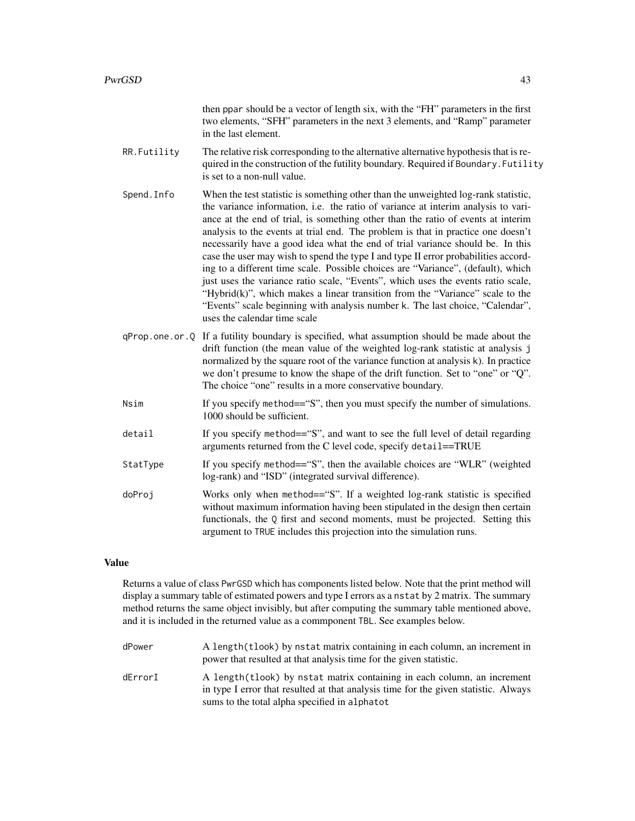|             | then ppar should be a vector of length six, with the "FH" parameters in the first<br>two elements, "SFH" parameters in the next 3 elements, and "Ramp" parameter<br>in the last element.                                                                                                                                                                                                                                                                                                                                                                                                                                                                                                                                                                                                                                                                                                          |
|-------------|---------------------------------------------------------------------------------------------------------------------------------------------------------------------------------------------------------------------------------------------------------------------------------------------------------------------------------------------------------------------------------------------------------------------------------------------------------------------------------------------------------------------------------------------------------------------------------------------------------------------------------------------------------------------------------------------------------------------------------------------------------------------------------------------------------------------------------------------------------------------------------------------------|
| RR.Futility | The relative risk corresponding to the alternative alternative hypothesis that is re-<br>quired in the construction of the futility boundary. Required if Boundary. Futility<br>is set to a non-null value.                                                                                                                                                                                                                                                                                                                                                                                                                                                                                                                                                                                                                                                                                       |
| Spend. Info | When the test statistic is something other than the unweighted log-rank statistic,<br>the variance information, i.e. the ratio of variance at interim analysis to vari-<br>ance at the end of trial, is something other than the ratio of events at interim<br>analysis to the events at trial end. The problem is that in practice one doesn't<br>necessarily have a good idea what the end of trial variance should be. In this<br>case the user may wish to spend the type I and type II error probabilities accord-<br>ing to a different time scale. Possible choices are "Variance", (default), which<br>just uses the variance ratio scale, "Events", which uses the events ratio scale,<br>"Hybrid(k)", which makes a linear transition from the "Variance" scale to the<br>"Events" scale beginning with analysis number k. The last choice, "Calendar",<br>uses the calendar time scale |
|             | qProp.one.or.Q If a futility boundary is specified, what assumption should be made about the<br>drift function (the mean value of the weighted log-rank statistic at analysis j<br>normalized by the square root of the variance function at analysis k). In practice<br>we don't presume to know the shape of the drift function. Set to "one" or "Q".<br>The choice "one" results in a more conservative boundary.                                                                                                                                                                                                                                                                                                                                                                                                                                                                              |
| Nsim        | If you specify method=="S", then you must specify the number of simulations.<br>1000 should be sufficient.                                                                                                                                                                                                                                                                                                                                                                                                                                                                                                                                                                                                                                                                                                                                                                                        |
| detail      | If you specify method=="S", and want to see the full level of detail regarding<br>arguments returned from the C level code, specify detail==TRUE                                                                                                                                                                                                                                                                                                                                                                                                                                                                                                                                                                                                                                                                                                                                                  |
| StatType    | If you specify method=="S", then the available choices are "WLR" (weighted<br>log-rank) and "ISD" (integrated survival difference).                                                                                                                                                                                                                                                                                                                                                                                                                                                                                                                                                                                                                                                                                                                                                               |
| doProj      | Works only when method=="S". If a weighted log-rank statistic is specified<br>without maximum information having been stipulated in the design then certain<br>functionals, the Q first and second moments, must be projected. Setting this<br>argument to TRUE includes this projection into the simulation runs.                                                                                                                                                                                                                                                                                                                                                                                                                                                                                                                                                                                |
|             |                                                                                                                                                                                                                                                                                                                                                                                                                                                                                                                                                                                                                                                                                                                                                                                                                                                                                                   |

### Value

Returns a value of class PwrGSD which has components listed below. Note that the print method will display a summary table of estimated powers and type I errors as a nstat by 2 matrix. The summary method returns the same object invisibly, but after computing the summary table mentioned above, and it is included in the returned value as a commponent TBL. See examples below.

dPower A length(tlook) by nstat matrix containing in each column, an increment in power that resulted at that analysis time for the given statistic. dErrorI A length(tlook) by nstat matrix containing in each column, an increment in type I error that resulted at that analysis time for the given statistic. Always sums to the total alpha specified in alphatot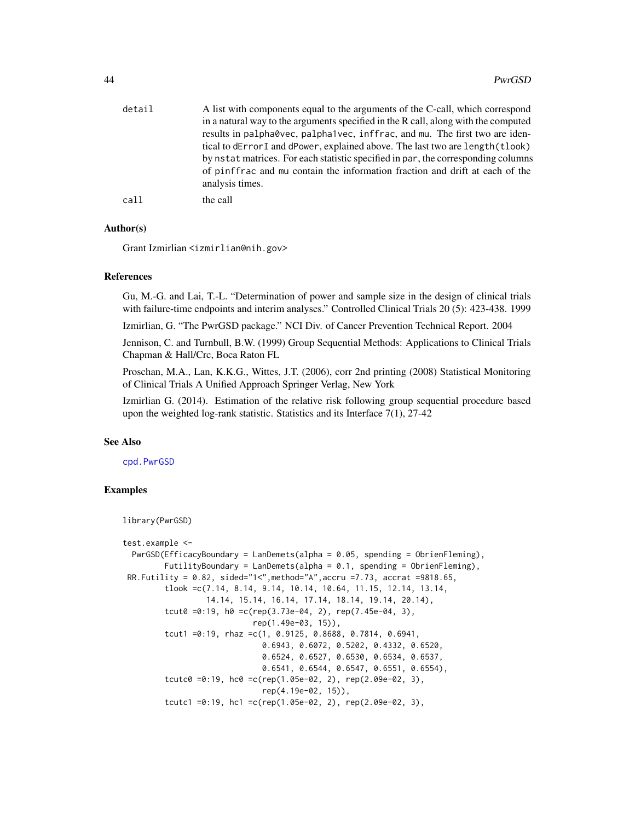<span id="page-43-0"></span>

| detail | A list with components equal to the arguments of the C-call, which correspond<br>in a natural way to the arguments specified in the R call, along with the computed<br>results in palpha0vec, palpha1vec, inffrac, and mu. The first two are iden-                     |
|--------|------------------------------------------------------------------------------------------------------------------------------------------------------------------------------------------------------------------------------------------------------------------------|
|        | tical to dError I and dPower, explained above. The last two are length (tlook)<br>by nstat matrices. For each statistic specified in par, the corresponding columns<br>of pinffrac and mu contain the information fraction and drift at each of the<br>analysis times. |
| call   | the call                                                                                                                                                                                                                                                               |

### Author(s)

Grant Izmirlian <izmirlian@nih.gov>

### References

Gu, M.-G. and Lai, T.-L. "Determination of power and sample size in the design of clinical trials with failure-time endpoints and interim analyses." Controlled Clinical Trials 20 (5): 423-438. 1999

Izmirlian, G. "The PwrGSD package." NCI Div. of Cancer Prevention Technical Report. 2004

Jennison, C. and Turnbull, B.W. (1999) Group Sequential Methods: Applications to Clinical Trials Chapman & Hall/Crc, Boca Raton FL

Proschan, M.A., Lan, K.K.G., Wittes, J.T. (2006), corr 2nd printing (2008) Statistical Monitoring of Clinical Trials A Unified Approach Springer Verlag, New York

Izmirlian G. (2014). Estimation of the relative risk following group sequential procedure based upon the weighted log-rank statistic. Statistics and its Interface 7(1), 27-42

### See Also

[cpd.PwrGSD](#page-4-1)

# Examples

```
library(PwrGSD)
```

```
test.example <-
 PwrGSD(EfficacyBoundary = LanDemets(alpha = 0.05, spending = ObrienFleming),
         FutilityBoundary = LanDemets(alpha = 0.1, spending = ObrienFleming),
 RR. Futility = 0.82, sided="1<", method="A", accru =7.73, accrat =9818.65,
         tlook =c(7.14, 8.14, 9.14, 10.14, 10.64, 11.15, 12.14, 13.14,
                  14.14, 15.14, 16.14, 17.14, 18.14, 19.14, 20.14),
         tcut0 =0:19, h0 =c(rep(3.73e-04, 2), rep(7.45e-04, 3),
                            rep(1.49e-03, 15)),
         tcut1 =0:19, rhaz =c(1, 0.9125, 0.8688, 0.7814, 0.6941,
                              0.6943, 0.6072, 0.5202, 0.4332, 0.6520,
                              0.6524, 0.6527, 0.6530, 0.6534, 0.6537,
                              0.6541, 0.6544, 0.6547, 0.6551, 0.6554),
         tcutc0 =0:19, hc0 =c(rep(1.05e-02, 2), rep(2.09e-02, 3),
                              rep(4.19e-02, 15)),
         tcutc1 =0:19, hc1 =c(rep(1.05e-02, 2), rep(2.09e-02, 3),
```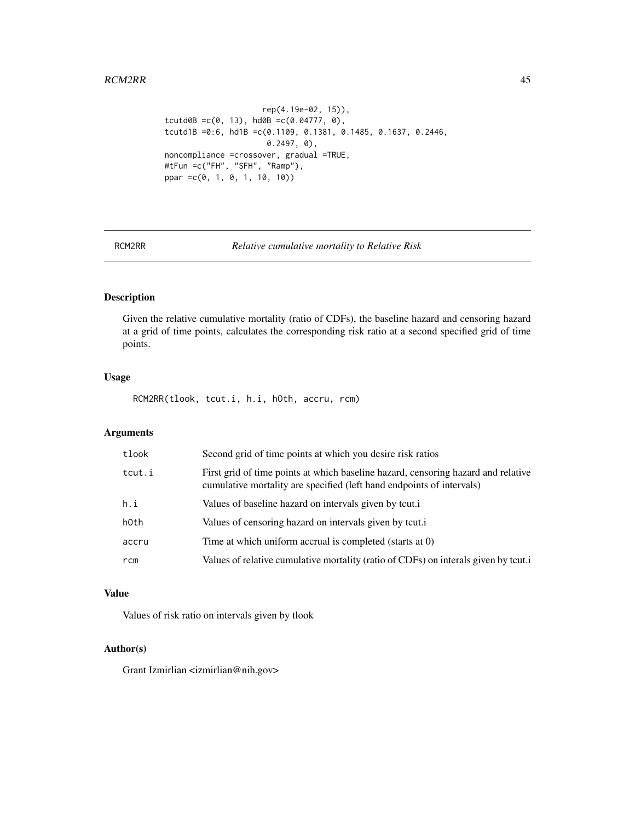```
rep(4.19e-02, 15)),
tcutd0B =c(0, 13), hd0B =c(0.04777, 0),
tcutd1B =0:6, hd1B =c(0.1109, 0.1381, 0.1485, 0.1637, 0.2446,
                      0.2497, 0),
noncompliance =crossover, gradual =TRUE,
WtFun =c("FH", "SFH", "Ramp"),
ppar =c(0, 1, 0, 1, 10, 10))
```
RCM2RR *Relative cumulative mortality to Relative Risk*

# Description

Given the relative cumulative mortality (ratio of CDFs), the baseline hazard and censoring hazard at a grid of time points, calculates the corresponding risk ratio at a second specified grid of time points.

# Usage

RCM2RR(tlook, tcut.i, h.i, hOth, accru, rcm)

# Arguments

| tlook  | Second grid of time points at which you desire risk ratios                                                                                                 |
|--------|------------------------------------------------------------------------------------------------------------------------------------------------------------|
| tcut.i | First grid of time points at which baseline hazard, censoring hazard and relative<br>cumulative mortality are specified (left hand endpoints of intervals) |
| h.i    | Values of baseline hazard on intervals given by tcut.                                                                                                      |
| hOth   | Values of censoring hazard on intervals given by tcut.                                                                                                     |
| accru  | Time at which uniform accrual is completed (starts at 0)                                                                                                   |
| rcm    | Values of relative cumulative mortality (ratio of CDFs) on interals given by tcut.                                                                         |

### Value

Values of risk ratio on intervals given by tlook

# Author(s)

Grant Izmirlian <izmirlian@nih.gov>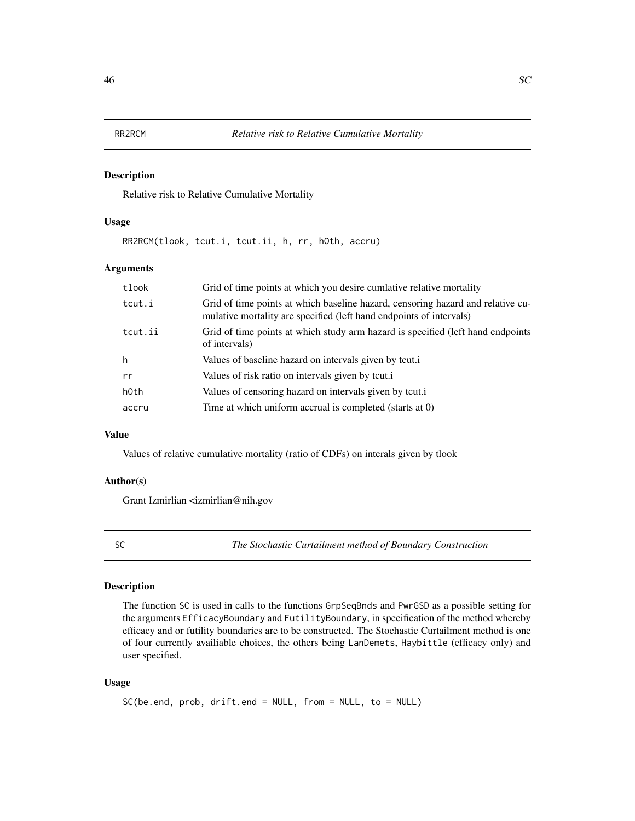### <span id="page-45-0"></span>Description

Relative risk to Relative Cumulative Mortality

# Usage

RR2RCM(tlook, tcut.i, tcut.ii, h, rr, hOth, accru)

### Arguments

| tlook   | Grid of time points at which you desire cumlative relative mortality                                                                                   |
|---------|--------------------------------------------------------------------------------------------------------------------------------------------------------|
| tcut.i  | Grid of time points at which baseline hazard, censoring hazard and relative cu-<br>mulative mortality are specified (left hand endpoints of intervals) |
| tcut.ii | Grid of time points at which study arm hazard is specified (left hand endpoints<br>of intervals)                                                       |
| h       | Values of baseline hazard on intervals given by tcut.                                                                                                  |
| rr      | Values of risk ratio on intervals given by tcut.                                                                                                       |
| h0th    | Values of censoring hazard on intervals given by tcut.                                                                                                 |
| accru   | Time at which uniform accrual is completed (starts at 0)                                                                                               |

# Value

Values of relative cumulative mortality (ratio of CDFs) on interals given by tlook

### Author(s)

Grant Izmirlian <izmirlian@nih.gov

<span id="page-45-1"></span>

SC *The Stochastic Curtailment method of Boundary Construction*

# Description

The function SC is used in calls to the functions GrpSeqBnds and PwrGSD as a possible setting for the arguments EfficacyBoundary and FutilityBoundary, in specification of the method whereby efficacy and or futility boundaries are to be constructed. The Stochastic Curtailment method is one of four currently availiable choices, the others being LanDemets, Haybittle (efficacy only) and user specified.

### Usage

```
SC(be.end, prob, drift.end = NULL, from = NULL, to = NULL)
```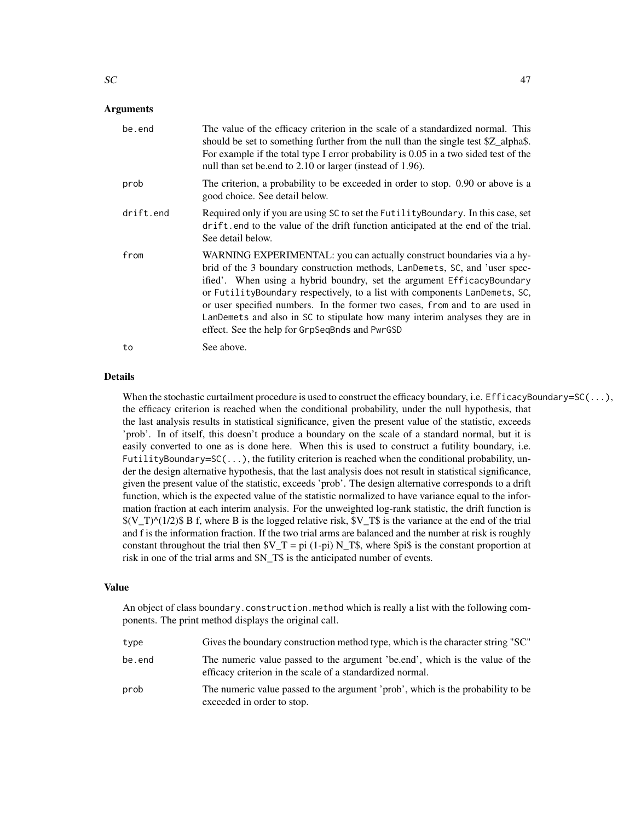### Arguments

| be.end    | The value of the efficacy criterion in the scale of a standardized normal. This<br>should be set to something further from the null than the single test \$Z_alpha\$.<br>For example if the total type I error probability is 0.05 in a two sided test of the<br>null than set belond to 2.10 or larger (instead of 1.96).                                                                                                                                                                                                   |
|-----------|------------------------------------------------------------------------------------------------------------------------------------------------------------------------------------------------------------------------------------------------------------------------------------------------------------------------------------------------------------------------------------------------------------------------------------------------------------------------------------------------------------------------------|
| prob      | The criterion, a probability to be exceeded in order to stop. 0.90 or above is a<br>good choice. See detail below.                                                                                                                                                                                                                                                                                                                                                                                                           |
| drift.end | Required only if you are using SC to set the Futility Boundary. In this case, set<br>drift end to the value of the drift function anticipated at the end of the trial.<br>See detail below.                                                                                                                                                                                                                                                                                                                                  |
| from      | WARNING EXPERIMENTAL: you can actually construct boundaries via a hy-<br>brid of the 3 boundary construction methods, LanDemets, SC, and 'user spec-<br>ified'. When using a hybrid boundry, set the argument EfficacyBoundary<br>or FutilityBoundary respectively, to a list with components LanDemets, SC,<br>or user specified numbers. In the former two cases, from and to are used in<br>LanDemets and also in SC to stipulate how many interim analyses they are in<br>effect. See the help for GrpSeqBnds and PwrGSD |
| to        | See above.                                                                                                                                                                                                                                                                                                                                                                                                                                                                                                                   |

### Details

When the stochastic curtailment procedure is used to construct the efficacy boundary, i.e. EfficacyBoundary=SC( $\ldots$ ), the efficacy criterion is reached when the conditional probability, under the null hypothesis, that the last analysis results in statistical significance, given the present value of the statistic, exceeds 'prob'. In of itself, this doesn't produce a boundary on the scale of a standard normal, but it is easily converted to one as is done here. When this is used to construct a futility boundary, i.e. FutilityBoundary= $SC(...)$ , the futility criterion is reached when the conditional probability, under the design alternative hypothesis, that the last analysis does not result in statistical significance, given the present value of the statistic, exceeds 'prob'. The design alternative corresponds to a drift function, which is the expected value of the statistic normalized to have variance equal to the information fraction at each interim analysis. For the unweighted log-rank statistic, the drift function is  $((V_T)^{\wedge}(1/2)\$  B f, where B is the logged relative risk,  $V_T$ \$ is the variance at the end of the trial and f is the information fraction. If the two trial arms are balanced and the number at risk is roughly constant throughout the trial then  $V_T = pi (1-pi) N_T$ , where  $\pi$ is is the constant proportion at risk in one of the trial arms and \$N\_T\$ is the anticipated number of events.

### Value

An object of class boundary.construction.method which is really a list with the following components. The print method displays the original call.

| type   | "SC" Gives the boundary construction method type, which is the character string "SC"                                                      |
|--------|-------------------------------------------------------------------------------------------------------------------------------------------|
| be.end | The numeric value passed to the argument 'be.end', which is the value of the<br>efficacy criterion in the scale of a standardized normal. |
| prob   | The numeric value passed to the argument 'prob', which is the probability to be<br>exceeded in order to stop.                             |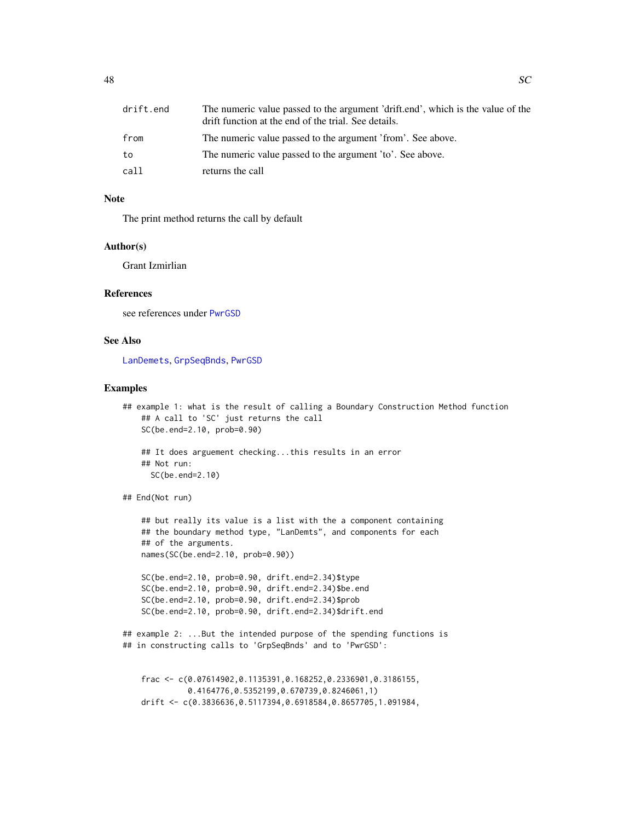<span id="page-47-0"></span>

| drift.end | The numeric value passed to the argument 'drift.end', which is the value of the<br>drift function at the end of the trial. See details. |
|-----------|-----------------------------------------------------------------------------------------------------------------------------------------|
| from      | The numeric value passed to the argument 'from'. See above.                                                                             |
| to        | The numeric value passed to the argument 'to'. See above.                                                                               |
| call      | returns the call                                                                                                                        |

### Note

The print method returns the call by default

### Author(s)

Grant Izmirlian

### References

see references under [PwrGSD](#page-36-1)

### See Also

[LanDemets](#page-24-1), [GrpSeqBnds](#page-14-1), [PwrGSD](#page-36-1)

#### Examples

```
## example 1: what is the result of calling a Boundary Construction Method function
    ## A call to 'SC' just returns the call
    SC(be.end=2.10, prob=0.90)
    ## It does arguement checking...this results in an error
    ## Not run:
     SC(be.end=2.10)
## End(Not run)
    ## but really its value is a list with the a component containing
   ## the boundary method type, "LanDemts", and components for each
   ## of the arguments.
   names(SC(be.end=2.10, prob=0.90))
    SC(be.end=2.10, prob=0.90, drift.end=2.34)$type
    SC(be.end=2.10, prob=0.90, drift.end=2.34)$be.end
    SC(be.end=2.10, prob=0.90, drift.end=2.34)$prob
    SC(be.end=2.10, prob=0.90, drift.end=2.34)$drift.end
```

```
## example 2: ...But the intended purpose of the spending functions is
## in constructing calls to 'GrpSeqBnds' and to 'PwrGSD':
```

```
frac <- c(0.07614902,0.1135391,0.168252,0.2336901,0.3186155,
          0.4164776,0.5352199,0.670739,0.8246061,1)
drift <- c(0.3836636,0.5117394,0.6918584,0.8657705,1.091984,
```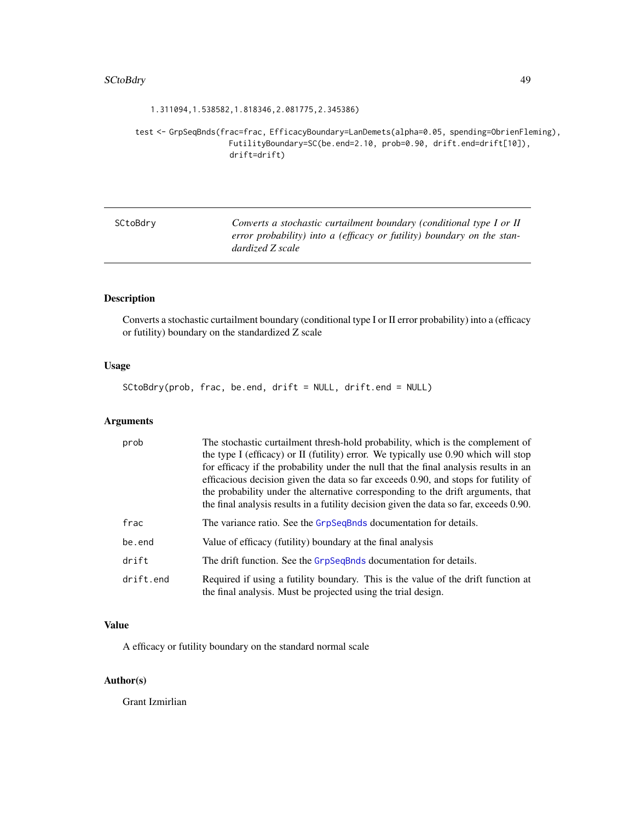### <span id="page-48-0"></span>SCtoBdry 49

### 1.311094,1.538582,1.818346,2.081775,2.345386)

test <- GrpSeqBnds(frac=frac, EfficacyBoundary=LanDemets(alpha=0.05, spending=ObrienFleming), FutilityBoundary=SC(be.end=2.10, prob=0.90, drift.end=drift[10]), drift=drift)

| SCtoBdrv | Converts a stochastic curtailment boundary (conditional type I or II   |
|----------|------------------------------------------------------------------------|
|          | error probability) into a (efficacy or futility) boundary on the stan- |
|          | dardized Z scale                                                       |

# Description

Converts a stochastic curtailment boundary (conditional type I or II error probability) into a (efficacy or futility) boundary on the standardized Z scale

# Usage

SCtoBdry(prob, frac, be.end, drift = NULL, drift.end = NULL)

# Arguments

| prob      | The stochastic curtailment thresh-hold probability, which is the complement of<br>the type I (efficacy) or II (futility) error. We typically use 0.90 which will stop<br>for efficacy if the probability under the null that the final analysis results in an<br>efficacious decision given the data so far exceeds 0.90, and stops for futility of<br>the probability under the alternative corresponding to the drift arguments, that<br>the final analysis results in a futility decision given the data so far, exceeds 0.90. |
|-----------|-----------------------------------------------------------------------------------------------------------------------------------------------------------------------------------------------------------------------------------------------------------------------------------------------------------------------------------------------------------------------------------------------------------------------------------------------------------------------------------------------------------------------------------|
| frac      | The variance ratio. See the GrpSeqBnds documentation for details.                                                                                                                                                                                                                                                                                                                                                                                                                                                                 |
| be.end    | Value of efficacy (futility) boundary at the final analysis                                                                                                                                                                                                                                                                                                                                                                                                                                                                       |
| drift     | The drift function. See the GrpSeqBnds documentation for details.                                                                                                                                                                                                                                                                                                                                                                                                                                                                 |
| drift.end | Required if using a futility boundary. This is the value of the drift function at<br>the final analysis. Must be projected using the trial design.                                                                                                                                                                                                                                                                                                                                                                                |

# Value

A efficacy or futility boundary on the standard normal scale

# Author(s)

Grant Izmirlian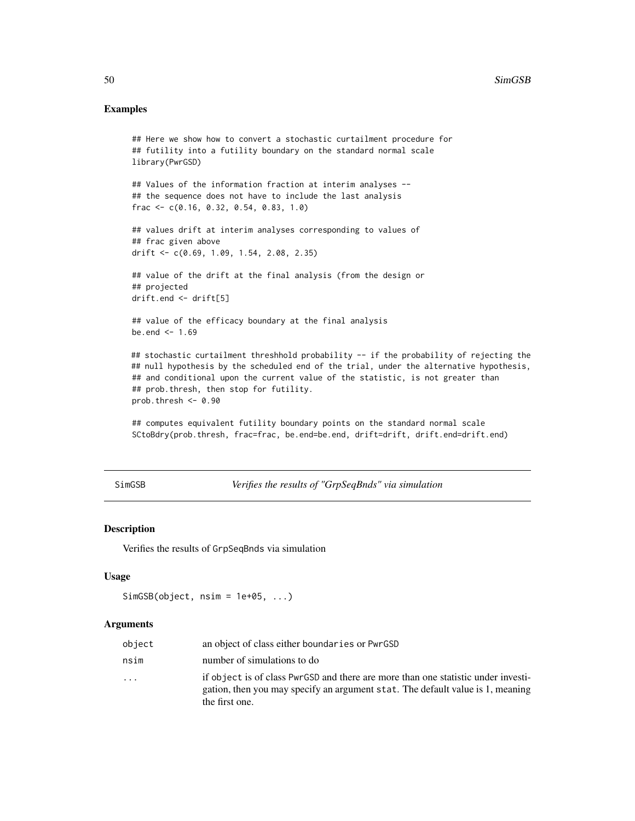### <span id="page-49-0"></span>Examples

```
## Here we show how to convert a stochastic curtailment procedure for
## futility into a futility boundary on the standard normal scale
library(PwrGSD)
## Values of the information fraction at interim analyses --
## the sequence does not have to include the last analysis
frac <- c(0.16, 0.32, 0.54, 0.83, 1.0)
## values drift at interim analyses corresponding to values of
## frac given above
drift <- c(0.69, 1.09, 1.54, 2.08, 2.35)
## value of the drift at the final analysis (from the design or
## projected
drift.end <- drift[5]
## value of the efficacy boundary at the final analysis
be.end <-1.69## stochastic curtailment threshhold probability -- if the probability of rejecting the
## null hypothesis by the scheduled end of the trial, under the alternative hypothesis,
## and conditional upon the current value of the statistic, is not greater than
## prob.thresh, then stop for futility.
prob.thresh <-0.90## computes equivalent futility boundary points on the standard normal scale
```
SCtoBdry(prob.thresh, frac=frac, be.end=be.end, drift=drift, drift.end=drift.end)

SimGSB *Verifies the results of "GrpSeqBnds" via simulation*

# Description

Verifies the results of GrpSeqBnds via simulation

# Usage

```
SimsSB(object, nsim = 1e+05, ...)
```
### Arguments

| object                  | an object of class either boundaries or PwrGSD                                                                                                                                        |
|-------------------------|---------------------------------------------------------------------------------------------------------------------------------------------------------------------------------------|
| nsim                    | number of simulations to do                                                                                                                                                           |
| $\cdot$ $\cdot$ $\cdot$ | if object is of class PwrGSD and there are more than one statistic under investi-<br>gation, then you may specify an argument stat. The default value is 1, meaning<br>the first one. |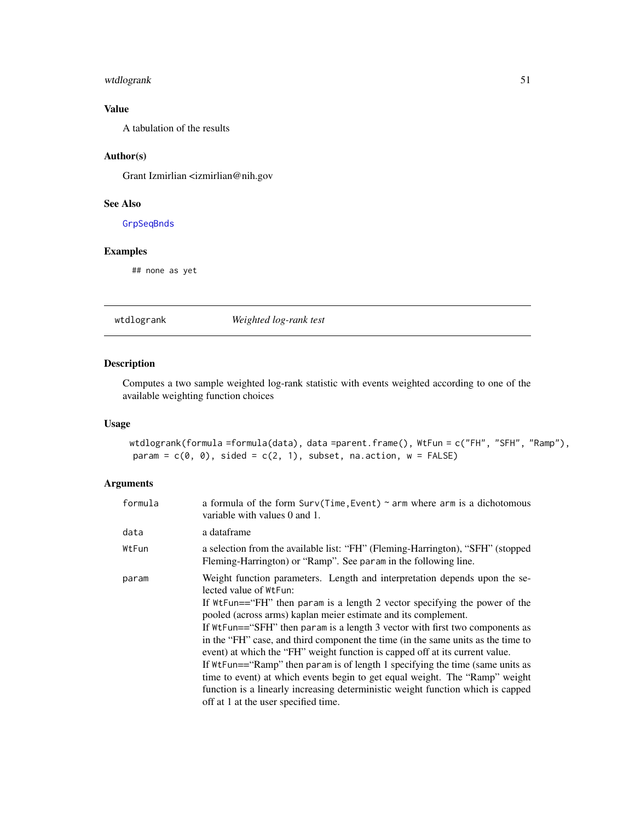# <span id="page-50-0"></span>wtdlogrank 51

# Value

A tabulation of the results

# Author(s)

Grant Izmirlian <izmirlian@nih.gov

# See Also

[GrpSeqBnds](#page-14-1)

# Examples

## none as yet

# <span id="page-50-1"></span>wtdlogrank *Weighted log-rank test*

# Description

Computes a two sample weighted log-rank statistic with events weighted according to one of the available weighting function choices

# Usage

wtdlogrank(formula =formula(data), data =parent.frame(), WtFun = c("FH", "SFH", "Ramp"), param =  $c(\emptyset, \emptyset)$ , sided =  $c(2, 1)$ , subset, na.action, w = FALSE)

# Arguments

| variable with values 0 and 1.                                                                                                                                                                                                                                                                                                                                                                                                                                                                                                                                                                                                                                                                                                                                                                        |
|------------------------------------------------------------------------------------------------------------------------------------------------------------------------------------------------------------------------------------------------------------------------------------------------------------------------------------------------------------------------------------------------------------------------------------------------------------------------------------------------------------------------------------------------------------------------------------------------------------------------------------------------------------------------------------------------------------------------------------------------------------------------------------------------------|
| a dataframe                                                                                                                                                                                                                                                                                                                                                                                                                                                                                                                                                                                                                                                                                                                                                                                          |
| a selection from the available list: "FH" (Fleming-Harrington), "SFH" (stopped<br>Fleming-Harrington) or "Ramp". See param in the following line.                                                                                                                                                                                                                                                                                                                                                                                                                                                                                                                                                                                                                                                    |
| Weight function parameters. Length and interpretation depends upon the se-<br>lected value of WtFun:<br>If WtFun=="FH" then param is a length 2 vector specifying the power of the<br>pooled (across arms) kaplan meier estimate and its complement.<br>If WtFun=="SFH" then param is a length 3 vector with first two components as<br>in the "FH" case, and third component the time (in the same units as the time to<br>event) at which the "FH" weight function is capped off at its current value.<br>If WtFun== "Ramp" then param is of length 1 specifying the time (same units as<br>time to event) at which events begin to get equal weight. The "Ramp" weight<br>function is a linearly increasing deterministic weight function which is capped<br>off at 1 at the user specified time. |
|                                                                                                                                                                                                                                                                                                                                                                                                                                                                                                                                                                                                                                                                                                                                                                                                      |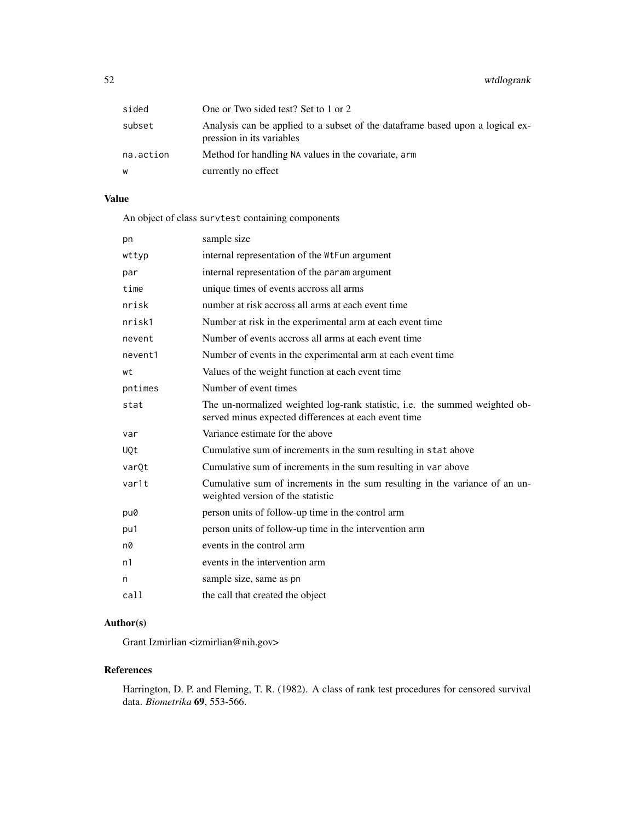52 wtdlogrank

| sided     | One or Two sided test? Set to 1 or 2                                                                        |
|-----------|-------------------------------------------------------------------------------------------------------------|
| subset    | Analysis can be applied to a subset of the data frame based upon a logical ex-<br>pression in its variables |
| na.action | Method for handling NA values in the covariate, arm                                                         |
| w         | currently no effect                                                                                         |

# Value

An object of class survtest containing components

| pn         | sample size                                                                                                                         |
|------------|-------------------------------------------------------------------------------------------------------------------------------------|
| wttyp      | internal representation of the WtFun argument                                                                                       |
| par        | internal representation of the param argument                                                                                       |
| time       | unique times of events accross all arms                                                                                             |
| nrisk      | number at risk accross all arms at each event time                                                                                  |
| nrisk1     | Number at risk in the experimental arm at each event time                                                                           |
| nevent     | Number of events accross all arms at each event time                                                                                |
| nevent1    | Number of events in the experimental arm at each event time                                                                         |
| wt         | Values of the weight function at each event time                                                                                    |
| pntimes    | Number of event times                                                                                                               |
| stat       | The un-normalized weighted log-rank statistic, i.e. the summed weighted ob-<br>served minus expected differences at each event time |
| var        | Variance estimate for the above                                                                                                     |
| <b>UQt</b> | Cumulative sum of increments in the sum resulting in stat above                                                                     |
| varQt      | Cumulative sum of increments in the sum resulting in var above                                                                      |
| var1t      | Cumulative sum of increments in the sum resulting in the variance of an un-<br>weighted version of the statistic                    |
| pu0        | person units of follow-up time in the control arm                                                                                   |
| pu1        | person units of follow-up time in the intervention arm                                                                              |
| n0         | events in the control arm                                                                                                           |
| n1         | events in the intervention arm                                                                                                      |
| n          | sample size, same as pn                                                                                                             |
| call       | the call that created the object                                                                                                    |

# Author(s)

Grant Izmirlian <izmirlian@nih.gov>

# References

Harrington, D. P. and Fleming, T. R. (1982). A class of rank test procedures for censored survival data. *Biometrika* 69, 553-566.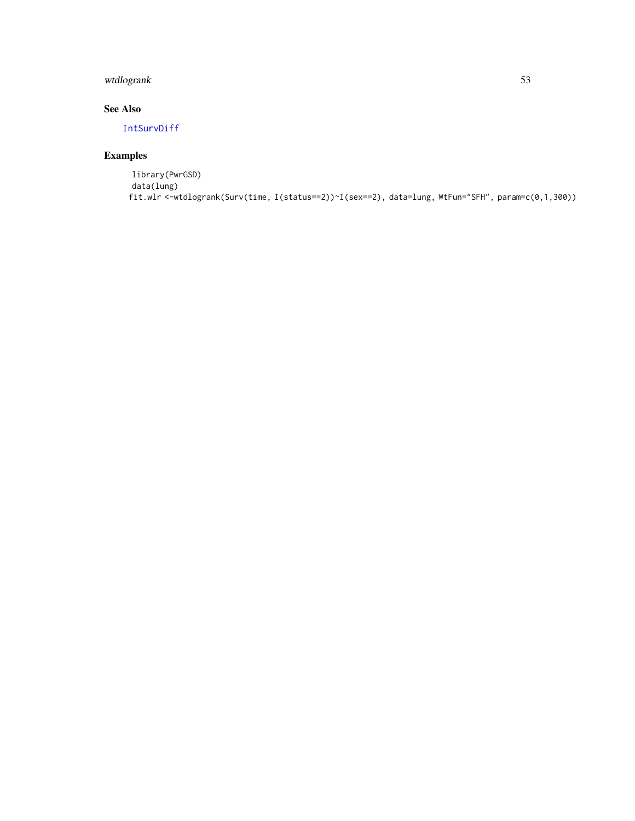# <span id="page-52-0"></span>wtdlogrank 53

# See Also

[IntSurvDiff](#page-22-1)

# Examples

library(PwrGSD) data(lung) fit.wlr <-wtdlogrank(Surv(time, I(status==2))~I(sex==2), data=lung, WtFun="SFH", param=c(0,1,300))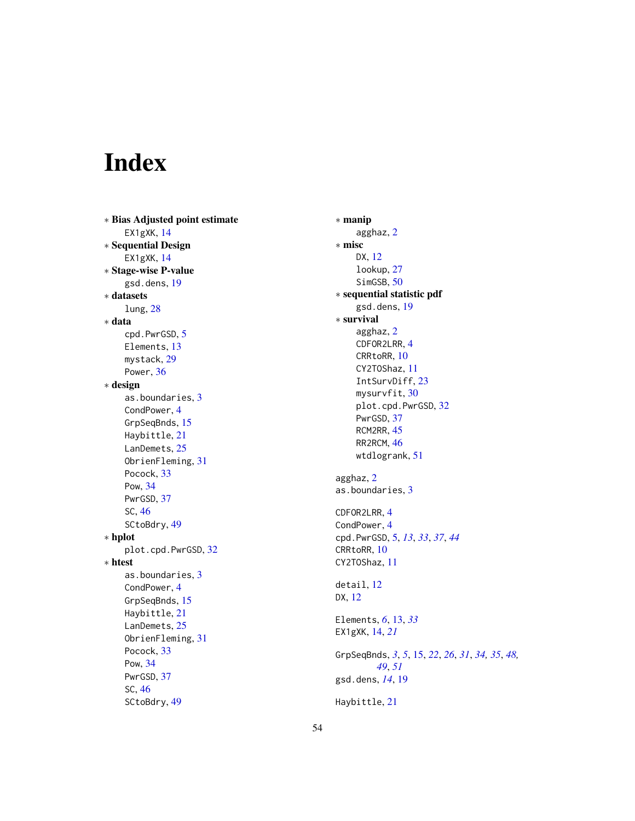# <span id="page-53-0"></span>Index

∗ Bias Adjusted point estimate EX1gXK , [14](#page-13-0) ∗ Sequential Design EX1gXK , [14](#page-13-0) ∗ Stage-wise P-value gsd.dens , [19](#page-18-0) ∗ datasets lung , [28](#page-27-0) ∗ data cpd.PwrGSD , [5](#page-4-0) Elements, [13](#page-12-0) mystack , [29](#page-28-0) Power, [36](#page-35-0) ∗ design as.boundaries , [3](#page-2-0) CondPower , [4](#page-3-0) GrpSeqBnds, [15](#page-14-0) Haybittle , [21](#page-20-0) LanDemets, [25](#page-24-0) ObrienFleming , [31](#page-30-0) Pocock , [33](#page-32-0) Pow , [34](#page-33-0) PwrGSD , [37](#page-36-0) SC , [46](#page-45-0) SCtoBdry , [49](#page-48-0) ∗ hplot plot.cpd.PwrGSD , [32](#page-31-0) ∗ htest as.boundaries, [3](#page-2-0) CondPower , [4](#page-3-0) GrpSeqBnds, [15](#page-14-0) Haybittle , [21](#page-20-0) LanDemets, [25](#page-24-0) ObrienFleming , [31](#page-30-0) Pocock , [33](#page-32-0) Pow , [34](#page-33-0) PwrGSD , [37](#page-36-0) SC , [46](#page-45-0) SCtoBdry , [49](#page-48-0)

∗ manip agghaz , [2](#page-1-0) ∗ misc DX , [12](#page-11-0) lookup , [27](#page-26-0) SimGSB, [50](#page-49-0) ∗ sequential statistic pdf gsd.dens , [19](#page-18-0) ∗ survival agghaz , [2](#page-1-0) CDFOR2LRR , [4](#page-3-0) CRRtoRR , [10](#page-9-0) CY2TOShaz , [11](#page-10-0) IntSurvDiff, [23](#page-22-0) mysurvfit, [30](#page-29-0) plot.cpd.PwrGSD , [32](#page-31-0) PwrGSD , [37](#page-36-0) RCM2RR, [45](#page-44-0) RR2RCM, [46](#page-45-0) wtdlogrank , [51](#page-50-0) agghaz , [2](#page-1-0) as.boundaries, [3](#page-2-0) CDFOR2LRR , [4](#page-3-0) CondPower , [4](#page-3-0) cpd.PwrGSD , [5](#page-4-0) , *[13](#page-12-0)* , *[33](#page-32-0)* , *[37](#page-36-0)* , *[44](#page-43-0)* CRRtoRR , [10](#page-9-0) CY2TOShaz , [11](#page-10-0) detail , [12](#page-11-0) DX , [12](#page-11-0) Elements , *[6](#page-5-0)* , [13](#page-12-0) , *[33](#page-32-0)* EX1gXK , [14](#page-13-0) , *[21](#page-20-0)* GrpSeqBnds, [3](#page-2-0), [5](#page-4-0), [15](#page-14-0), [22](#page-21-0), [26](#page-25-0), [31](#page-30-0), [34](#page-33-0), [35](#page-34-0), [48](#page-47-0), *[49](#page-48-0)* , *[51](#page-50-0)* gsd.dens , *[14](#page-13-0)* , [19](#page-18-0) Haybittle , [21](#page-20-0)